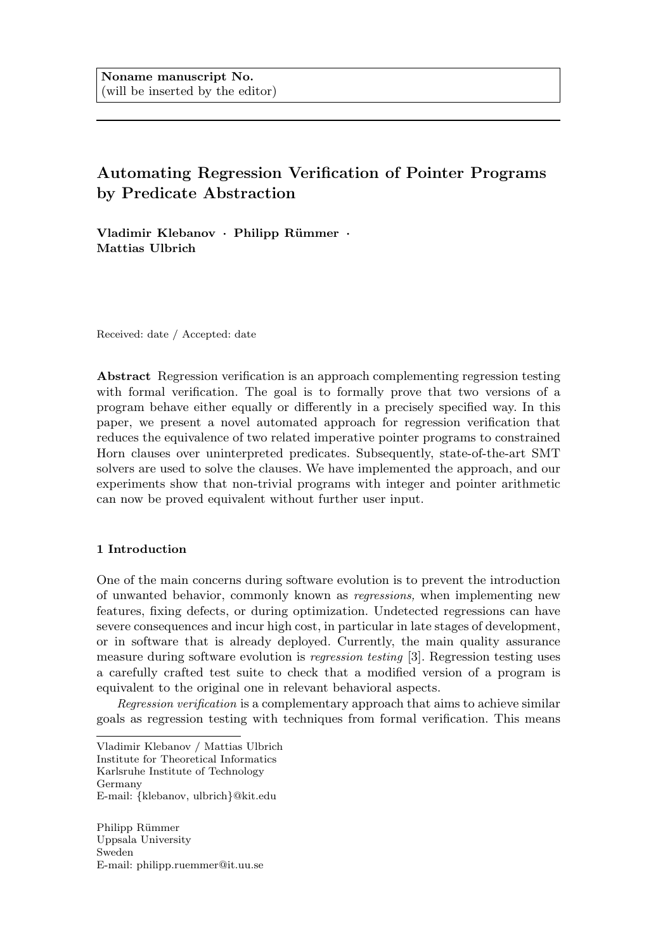# Automating Regression Verification of Pointer Programs by Predicate Abstraction

Vladimir Klebanov · Philipp Rümmer · Mattias Ulbrich

Received: date / Accepted: date

Abstract Regression verification is an approach complementing regression testing with formal verification. The goal is to formally prove that two versions of a program behave either equally or differently in a precisely specified way. In this paper, we present a novel automated approach for regression verification that reduces the equivalence of two related imperative pointer programs to constrained Horn clauses over uninterpreted predicates. Subsequently, state-of-the-art SMT solvers are used to solve the clauses. We have implemented the approach, and our experiments show that non-trivial programs with integer and pointer arithmetic can now be proved equivalent without further user input.

# 1 Introduction

One of the main concerns during software evolution is to prevent the introduction of unwanted behavior, commonly known as regressions, when implementing new features, fixing defects, or during optimization. Undetected regressions can have severe consequences and incur high cost, in particular in late stages of development, or in software that is already deployed. Currently, the main quality assurance measure during software evolution is regression testing [3]. Regression testing uses a carefully crafted test suite to check that a modified version of a program is equivalent to the original one in relevant behavioral aspects.

Regression verification is a complementary approach that aims to achieve similar goals as regression testing with techniques from formal verification. This means

Vladimir Klebanov / Mattias Ulbrich Institute for Theoretical Informatics Karlsruhe Institute of Technology Germany

E-mail: {klebanov, ulbrich}@kit.edu

Philipp Rümmer Uppsala University Sweden E-mail: philipp.ruemmer@it.uu.se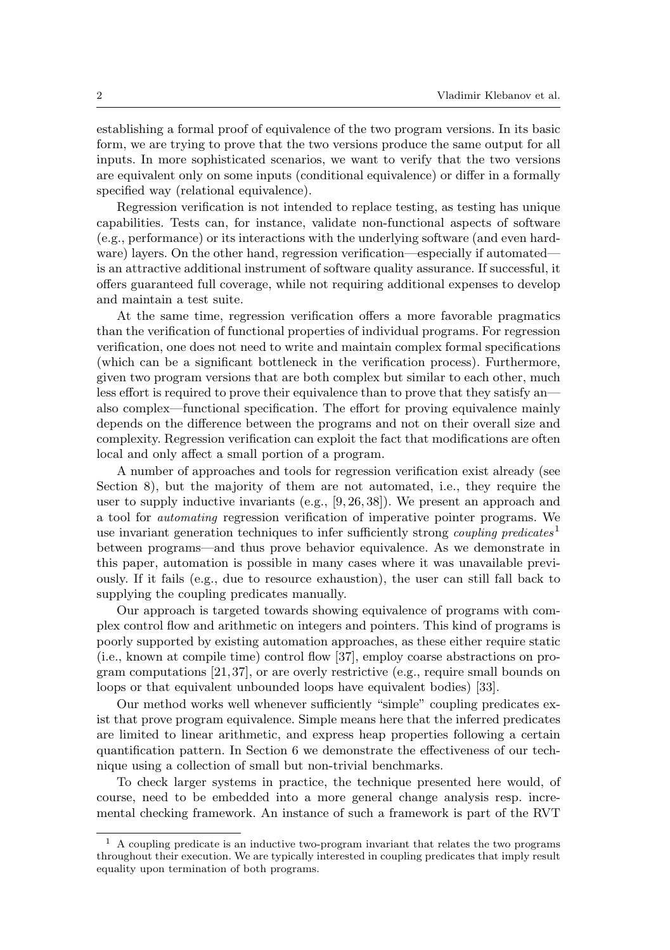establishing a formal proof of equivalence of the two program versions. In its basic form, we are trying to prove that the two versions produce the same output for all inputs. In more sophisticated scenarios, we want to verify that the two versions are equivalent only on some inputs (conditional equivalence) or differ in a formally specified way (relational equivalence).

Regression verification is not intended to replace testing, as testing has unique capabilities. Tests can, for instance, validate non-functional aspects of software (e.g., performance) or its interactions with the underlying software (and even hardware) layers. On the other hand, regression verification—especially if automated is an attractive additional instrument of software quality assurance. If successful, it offers guaranteed full coverage, while not requiring additional expenses to develop and maintain a test suite.

At the same time, regression verification offers a more favorable pragmatics than the verification of functional properties of individual programs. For regression verification, one does not need to write and maintain complex formal specifications (which can be a significant bottleneck in the verification process). Furthermore, given two program versions that are both complex but similar to each other, much less effort is required to prove their equivalence than to prove that they satisfy an also complex—functional specification. The effort for proving equivalence mainly depends on the difference between the programs and not on their overall size and complexity. Regression verification can exploit the fact that modifications are often local and only affect a small portion of a program.

A number of approaches and tools for regression verification exist already (see Section 8), but the majority of them are not automated, i.e., they require the user to supply inductive invariants (e.g., [9, 26, 38]). We present an approach and a tool for automating regression verification of imperative pointer programs. We use invariant generation techniques to infer sufficiently strong *coupling predicates*<sup>1</sup> between programs—and thus prove behavior equivalence. As we demonstrate in this paper, automation is possible in many cases where it was unavailable previously. If it fails (e.g., due to resource exhaustion), the user can still fall back to supplying the coupling predicates manually.

Our approach is targeted towards showing equivalence of programs with complex control flow and arithmetic on integers and pointers. This kind of programs is poorly supported by existing automation approaches, as these either require static (i.e., known at compile time) control flow [37], employ coarse abstractions on program computations  $[21, 37]$ , or are overly restrictive (e.g., require small bounds on loops or that equivalent unbounded loops have equivalent bodies) [33].

Our method works well whenever sufficiently "simple" coupling predicates exist that prove program equivalence. Simple means here that the inferred predicates are limited to linear arithmetic, and express heap properties following a certain quantification pattern. In Section 6 we demonstrate the effectiveness of our technique using a collection of small but non-trivial benchmarks.

To check larger systems in practice, the technique presented here would, of course, need to be embedded into a more general change analysis resp. incremental checking framework. An instance of such a framework is part of the RVT

<sup>1</sup> A coupling predicate is an inductive two-program invariant that relates the two programs throughout their execution. We are typically interested in coupling predicates that imply result equality upon termination of both programs.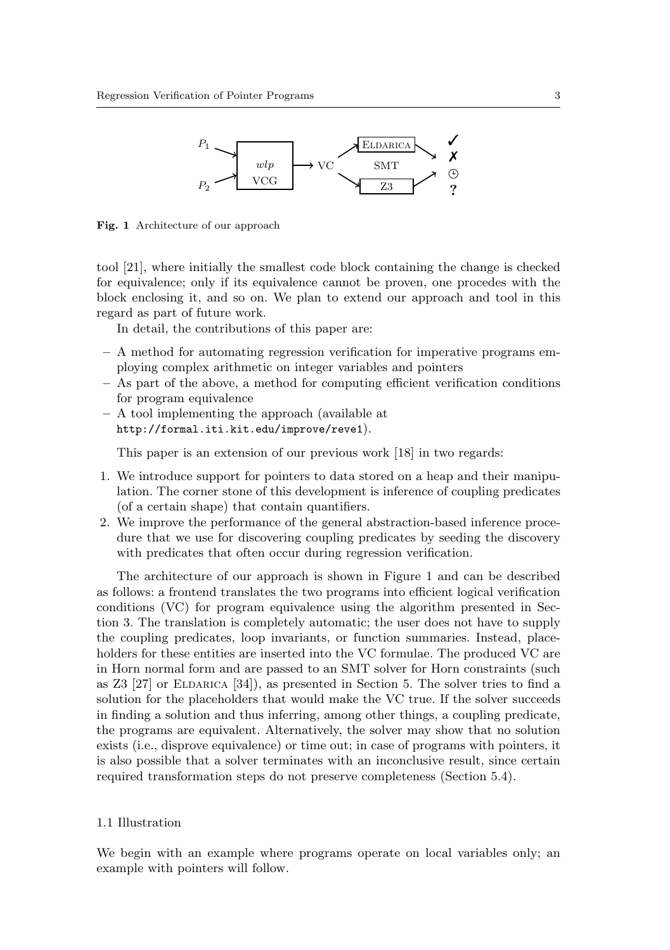

Fig. 1 Architecture of our approach

tool [21], where initially the smallest code block containing the change is checked for equivalence; only if its equivalence cannot be proven, one procedes with the block enclosing it, and so on. We plan to extend our approach and tool in this regard as part of future work.

In detail, the contributions of this paper are:

- A method for automating regression verification for imperative programs employing complex arithmetic on integer variables and pointers
- As part of the above, a method for computing efficient verification conditions for program equivalence
- A tool implementing the approach (available at http://formal.iti.kit.edu/improve/reve1).

This paper is an extension of our previous work [18] in two regards:

- 1. We introduce support for pointers to data stored on a heap and their manipulation. The corner stone of this development is inference of coupling predicates (of a certain shape) that contain quantifiers.
- 2. We improve the performance of the general abstraction-based inference procedure that we use for discovering coupling predicates by seeding the discovery with predicates that often occur during regression verification.

The architecture of our approach is shown in Figure 1 and can be described as follows: a frontend translates the two programs into efficient logical verification conditions (VC) for program equivalence using the algorithm presented in Section 3. The translation is completely automatic; the user does not have to supply the coupling predicates, loop invariants, or function summaries. Instead, placeholders for these entities are inserted into the VC formulae. The produced VC are in Horn normal form and are passed to an SMT solver for Horn constraints (such as  $Z3$  [27] or ELDARICA [34]), as presented in Section 5. The solver tries to find a solution for the placeholders that would make the VC true. If the solver succeeds in finding a solution and thus inferring, among other things, a coupling predicate, the programs are equivalent. Alternatively, the solver may show that no solution exists (i.e., disprove equivalence) or time out; in case of programs with pointers, it is also possible that a solver terminates with an inconclusive result, since certain required transformation steps do not preserve completeness (Section 5.4).

#### 1.1 Illustration

We begin with an example where programs operate on local variables only; an example with pointers will follow.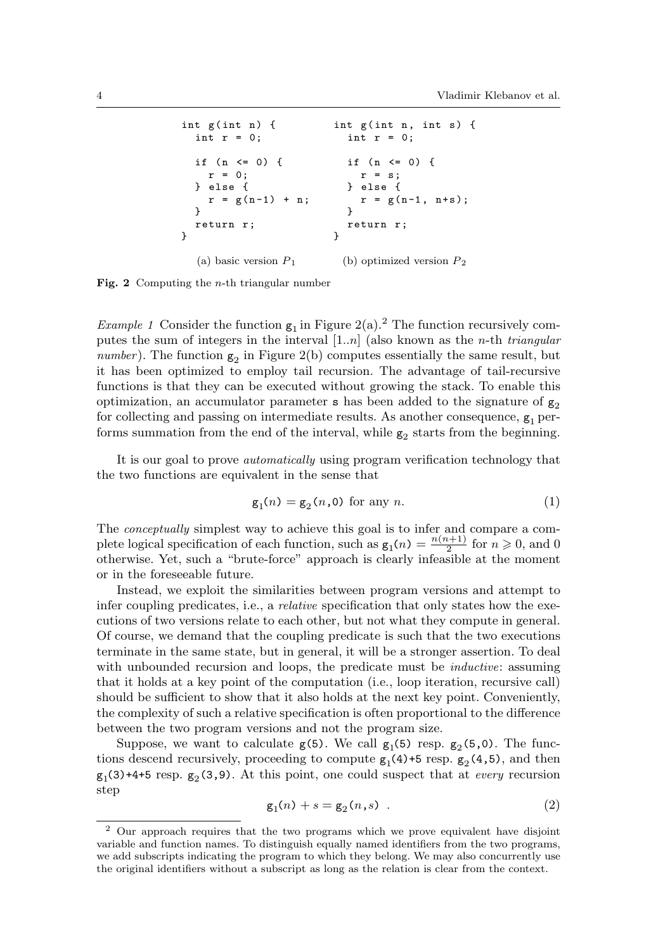```
int g( int n) {
  int r = 0;
  if (n \le 0) {
    r = 0:
   } else {
    r = g(n-1) + n;}
  return r;
}
                         int g(int n, int s) {
                           int r = 0;
                           if (n \le 0) {
                             r = s;
                           } else {
                             r = g(n-1, n+s);}
                           return r;
                         }
  (a) basic version P_1 (b) optimized version P_2
```
Fig. 2 Computing the *n*-th triangular number

*Example 1* Consider the function  $g_1$  in Figure 2(a).<sup>2</sup> The function recursively computes the sum of integers in the interval  $[1..n]$  (also known as the *n*-th *triangular number*). The function  $g_2$  in Figure 2(b) computes essentially the same result, but it has been optimized to employ tail recursion. The advantage of tail-recursive functions is that they can be executed without growing the stack. To enable this optimization, an accumulator parameter s has been added to the signature of  $g_2$ for collecting and passing on intermediate results. As another consequence,  $g_1$  performs summation from the end of the interval, while  $g_2$  starts from the beginning.

It is our goal to prove automatically using program verification technology that the two functions are equivalent in the sense that

$$
\mathsf{g}_1(n) = \mathsf{g}_2(n,0) \text{ for any } n. \tag{1}
$$

The conceptually simplest way to achieve this goal is to infer and compare a complete logical specification of each function, such as  $g_1(n) = \frac{n(n+1)}{2}$  for  $n \ge 0$ , and 0 otherwise. Yet, such a "brute-force" approach is clearly infeasible at the moment or in the foreseeable future.

Instead, we exploit the similarities between program versions and attempt to infer coupling predicates, i.e., a *relative* specification that only states how the executions of two versions relate to each other, but not what they compute in general. Of course, we demand that the coupling predicate is such that the two executions terminate in the same state, but in general, it will be a stronger assertion. To deal with unbounded recursion and loops, the predicate must be *inductive*: assuming that it holds at a key point of the computation (i.e., loop iteration, recursive call) should be sufficient to show that it also holds at the next key point. Conveniently, the complexity of such a relative specification is often proportional to the difference between the two program versions and not the program size.

Suppose, we want to calculate  $g(5)$ . We call  $g_1(5)$  resp.  $g_2(5,0)$ . The functions descend recursively, proceeding to compute  $g_1(4)$ +5 resp.  $g_2(4,5)$ , and then  $g_1(3)$ +4+5 resp.  $g_2(3,9)$ . At this point, one could suspect that at *every* recursion step

$$
g_1(n) + s = g_2(n, s) . \t\t(2)
$$

<sup>2</sup> Our approach requires that the two programs which we prove equivalent have disjoint variable and function names. To distinguish equally named identifiers from the two programs, we add subscripts indicating the program to which they belong. We may also concurrently use the original identifiers without a subscript as long as the relation is clear from the context.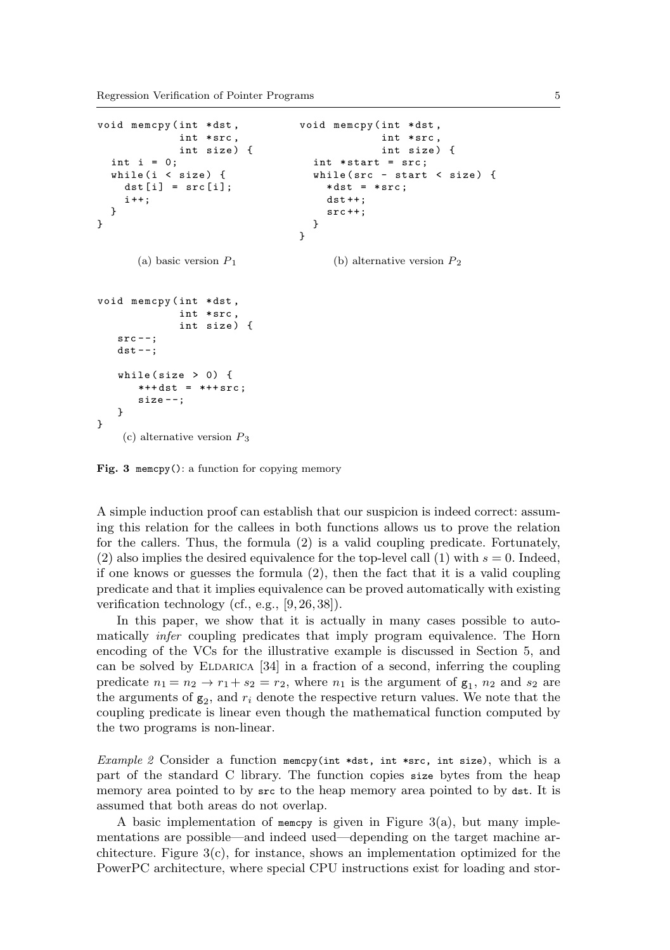```
void memcpy ( int * dst ,
              int * src ,
              int size) {
  int i = 0;
  while (i \leq size) {
    dst[i] = src[i];i ++;
  }
}
                                  void memcpy ( int * dst ,
                                                int * src ,
                                                int size) {
                                    int *start = src;
                                    while (src - start < size) {
                                       *dist = *src;dst++;src ++;
                                    }
                                  }
       (a) basic version P_1 (b) alternative version P_2void memcpy ( int * dst ,
              int * src ,
              int size) {
   src --;dst --;while (size > 0) {
       *++dst = *++src;size --:}
}
    (c) alternative version P_3
```
Fig. 3 memory(): a function for copying memory

A simple induction proof can establish that our suspicion is indeed correct: assuming this relation for the callees in both functions allows us to prove the relation for the callers. Thus, the formula (2) is a valid coupling predicate. Fortunately, (2) also implies the desired equivalence for the top-level call (1) with  $s = 0$ . Indeed, if one knows or guesses the formula (2), then the fact that it is a valid coupling predicate and that it implies equivalence can be proved automatically with existing verification technology (cf., e.g., [9, 26, 38]).

In this paper, we show that it is actually in many cases possible to automatically infer coupling predicates that imply program equivalence. The Horn encoding of the VCs for the illustrative example is discussed in Section 5, and can be solved by ELDARICA  $[34]$  in a fraction of a second, inferring the coupling predicate  $n_1 = n_2 \rightarrow r_1 + s_2 = r_2$ , where  $n_1$  is the argument of  $g_1$ ,  $n_2$  and  $s_2$  are the arguments of  $g_2$ , and  $r_i$  denote the respective return values. We note that the coupling predicate is linear even though the mathematical function computed by the two programs is non-linear.

Example 2 Consider a function memcpy(int \*dst, int \*src, int size), which is a part of the standard C library. The function copies size bytes from the heap memory area pointed to by src to the heap memory area pointed to by dst. It is assumed that both areas do not overlap.

A basic implementation of memcpy is given in Figure 3(a), but many implementations are possible—and indeed used—depending on the target machine architecture. Figure  $3(c)$ , for instance, shows an implementation optimized for the PowerPC architecture, where special CPU instructions exist for loading and stor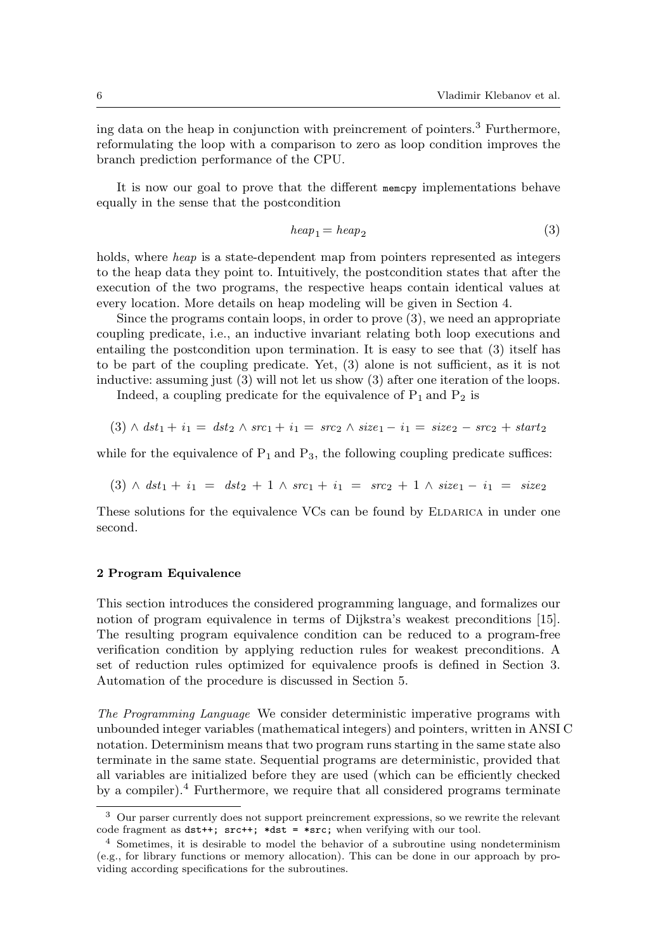ing data on the heap in conjunction with preincrement of pointers.<sup>3</sup> Furthermore, reformulating the loop with a comparison to zero as loop condition improves the branch prediction performance of the CPU.

It is now our goal to prove that the different memcpy implementations behave equally in the sense that the postcondition

$$
heap_1 = heap_2 \tag{3}
$$

holds, where *heap* is a state-dependent map from pointers represented as integers to the heap data they point to. Intuitively, the postcondition states that after the execution of the two programs, the respective heaps contain identical values at every location. More details on heap modeling will be given in Section 4.

Since the programs contain loops, in order to prove (3), we need an appropriate coupling predicate, i.e., an inductive invariant relating both loop executions and entailing the postcondition upon termination. It is easy to see that (3) itself has to be part of the coupling predicate. Yet, (3) alone is not sufficient, as it is not inductive: assuming just (3) will not let us show (3) after one iteration of the loops.

Indeed, a coupling predicate for the equivalence of  $P_1$  and  $P_2$  is

$$
(3) \wedge \text{dst}_1 + i_1 = \text{dst}_2 \wedge \text{src}_1 + i_1 = \text{src}_2 \wedge \text{size}_1 - i_1 = \text{size}_2 - \text{src}_2 + \text{start}_2
$$

while for the equivalence of  $P_1$  and  $P_3$ , the following coupling predicate suffices:

$$
(3) \wedge dist_1 + i_1 = dist_2 + 1 \wedge src_1 + i_1 = src_2 + 1 \wedge size_1 - i_1 = size_2
$$

These solutions for the equivalence VCs can be found by ELDARICA in under one second.

#### 2 Program Equivalence

This section introduces the considered programming language, and formalizes our notion of program equivalence in terms of Dijkstra's weakest preconditions [15]. The resulting program equivalence condition can be reduced to a program-free verification condition by applying reduction rules for weakest preconditions. A set of reduction rules optimized for equivalence proofs is defined in Section 3. Automation of the procedure is discussed in Section 5.

The Programming Language We consider deterministic imperative programs with unbounded integer variables (mathematical integers) and pointers, written in ANSI C notation. Determinism means that two program runs starting in the same state also terminate in the same state. Sequential programs are deterministic, provided that all variables are initialized before they are used (which can be efficiently checked by a compiler).<sup>4</sup> Furthermore, we require that all considered programs terminate

<sup>3</sup> Our parser currently does not support preincrement expressions, so we rewrite the relevant code fragment as  $dst++$ ;  $src++$ ;  $*dst = *src$ ; when verifying with our tool.

<sup>4</sup> Sometimes, it is desirable to model the behavior of a subroutine using nondeterminism (e.g., for library functions or memory allocation). This can be done in our approach by providing according specifications for the subroutines.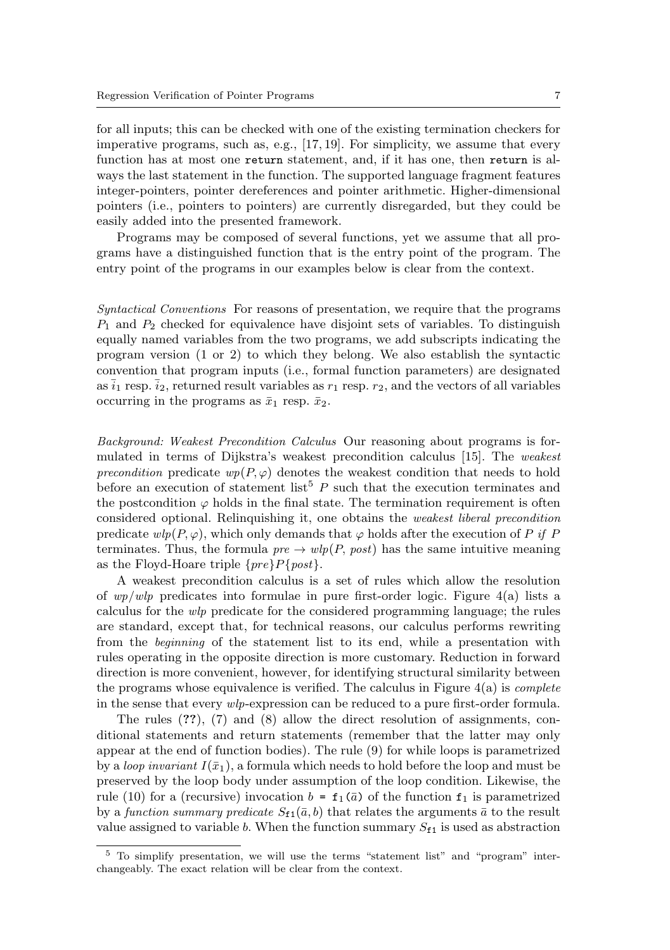for all inputs; this can be checked with one of the existing termination checkers for imperative programs, such as, e.g., [17, 19]. For simplicity, we assume that every function has at most one return statement, and, if it has one, then return is always the last statement in the function. The supported language fragment features integer-pointers, pointer dereferences and pointer arithmetic. Higher-dimensional pointers (i.e., pointers to pointers) are currently disregarded, but they could be easily added into the presented framework.

Programs may be composed of several functions, yet we assume that all programs have a distinguished function that is the entry point of the program. The entry point of the programs in our examples below is clear from the context.

Syntactical Conventions For reasons of presentation, we require that the programs  $P_1$  and  $P_2$  checked for equivalence have disjoint sets of variables. To distinguish equally named variables from the two programs, we add subscripts indicating the program version (1 or 2) to which they belong. We also establish the syntactic convention that program inputs (i.e., formal function parameters) are designated as  $i_1$  resp.  $i_2$ , returned result variables as  $r_1$  resp.  $r_2$ , and the vectors of all variables occurring in the programs as  $\bar{x}_1$  resp.  $\bar{x}_2$ .

Background: Weakest Precondition Calculus Our reasoning about programs is formulated in terms of Dijkstra's weakest precondition calculus [15]. The weakest precondition predicate  $wp(P, \varphi)$  denotes the weakest condition that needs to hold before an execution of statement list<sup>5</sup> P such that the execution terminates and the postcondition  $\varphi$  holds in the final state. The termination requirement is often considered optional. Relinquishing it, one obtains the weakest liberal precondition predicate  $wlp(P, \varphi)$ , which only demands that  $\varphi$  holds after the execution of P if P terminates. Thus, the formula  $pre \rightarrow wh(P, post)$  has the same intuitive meaning as the Floyd-Hoare triple  $\{pre\}P\{post\}.$ 

A weakest precondition calculus is a set of rules which allow the resolution of  $wp/wh$  predicates into formulae in pure first-order logic. Figure 4(a) lists a calculus for the wlp predicate for the considered programming language; the rules are standard, except that, for technical reasons, our calculus performs rewriting from the beginning of the statement list to its end, while a presentation with rules operating in the opposite direction is more customary. Reduction in forward direction is more convenient, however, for identifying structural similarity between the programs whose equivalence is verified. The calculus in Figure  $4(a)$  is *complete* in the sense that every wlp-expression can be reduced to a pure first-order formula.

The rules (??), (7) and (8) allow the direct resolution of assignments, conditional statements and return statements (remember that the latter may only appear at the end of function bodies). The rule (9) for while loops is parametrized by a *loop invariant*  $I(\bar{x}_1)$ , a formula which needs to hold before the loop and must be preserved by the loop body under assumption of the loop condition. Likewise, the rule (10) for a (recursive) invocation  $b = f_1(\bar{a})$  of the function  $f_1$  is parametrized by a function summary predicate  $S_{f1}(\bar{a}, b)$  that relates the arguments  $\bar{a}$  to the result value assigned to variable b. When the function summary  $S_{f1}$  is used as abstraction

 $5$  To simplify presentation, we will use the terms "statement list" and "program" interchangeably. The exact relation will be clear from the context.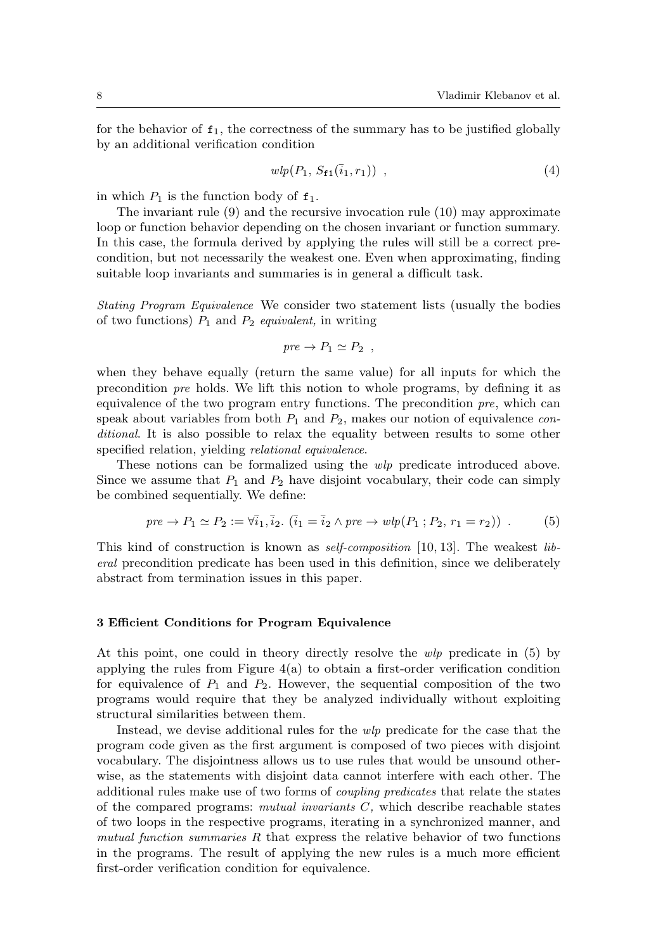for the behavior of  $f_1$ , the correctness of the summary has to be justified globally by an additional verification condition

$$
wlp(P_1, S_{\mathtt{f1}}(\bar{i}_1, r_1)), \qquad (4)
$$

in which  $P_1$  is the function body of  $f_1$ .

The invariant rule (9) and the recursive invocation rule (10) may approximate loop or function behavior depending on the chosen invariant or function summary. In this case, the formula derived by applying the rules will still be a correct precondition, but not necessarily the weakest one. Even when approximating, finding suitable loop invariants and summaries is in general a difficult task.

Stating Program Equivalence We consider two statement lists (usually the bodies of two functions)  $P_1$  and  $P_2$  equivalent, in writing

$$
pre \to P_1 \simeq P_2 ,
$$

when they behave equally (return the same value) for all inputs for which the precondition pre holds. We lift this notion to whole programs, by defining it as equivalence of the two program entry functions. The precondition pre, which can speak about variables from both  $P_1$  and  $P_2$ , makes our notion of equivalence conditional. It is also possible to relax the equality between results to some other specified relation, yielding *relational equivalence*.

These notions can be formalized using the *wlp* predicate introduced above. Since we assume that  $P_1$  and  $P_2$  have disjoint vocabulary, their code can simply be combined sequentially. We define:

$$
pre \to P_1 \simeq P_2 := \forall \bar{i}_1, \bar{i}_2. \ (\bar{i}_1 = \bar{i}_2 \land pre \to wlp(P_1; P_2, r_1 = r_2)) \ . \tag{5}
$$

This kind of construction is known as self-composition [10, 13]. The weakest liberal precondition predicate has been used in this definition, since we deliberately abstract from termination issues in this paper.

#### 3 Efficient Conditions for Program Equivalence

At this point, one could in theory directly resolve the  $wlp$  predicate in (5) by applying the rules from Figure 4(a) to obtain a first-order verification condition for equivalence of  $P_1$  and  $P_2$ . However, the sequential composition of the two programs would require that they be analyzed individually without exploiting structural similarities between them.

Instead, we devise additional rules for the wlp predicate for the case that the program code given as the first argument is composed of two pieces with disjoint vocabulary. The disjointness allows us to use rules that would be unsound otherwise, as the statements with disjoint data cannot interfere with each other. The additional rules make use of two forms of coupling predicates that relate the states of the compared programs: mutual invariants C, which describe reachable states of two loops in the respective programs, iterating in a synchronized manner, and mutual function summaries  $R$  that express the relative behavior of two functions in the programs. The result of applying the new rules is a much more efficient first-order verification condition for equivalence.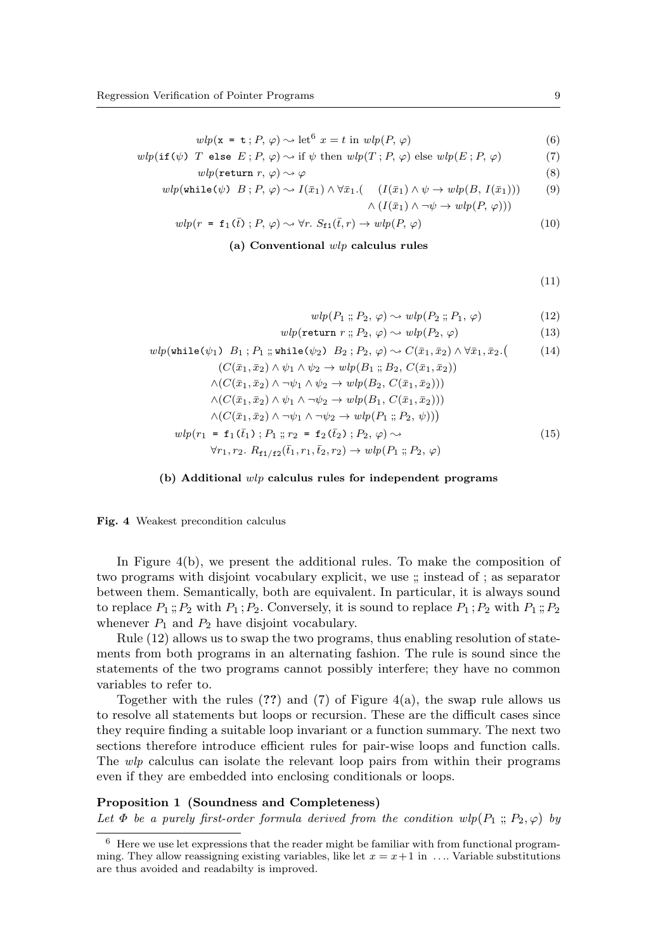$wlp(\mathbf{x} = \mathbf{t} ; P, \varphi) \sim \text{let}^6 x = t \text{ in } wlp(P, \varphi)$  (6)

$$
wlp(\text{if }(\psi) \ T \text{ else } E; P, \varphi) \sim \text{if } \psi \text{ then } wlp(T; P, \varphi) \text{ else } wlp(E; P, \varphi) \tag{7}
$$

$$
wlp(\text{return } r, \varphi) \sim \varphi \tag{8}
$$

$$
wlp(\text{while}(\psi) \ B; P, \varphi) \sim I(\bar{x}_1) \land \forall \bar{x}_1.((\quad (I(\bar{x}_1) \land \psi \to wlp(B, I(\bar{x}_1)))) \qquad (9)
$$

$$
\land (\overline{I(\bar{x}_1}) \land \neg \psi \to wlp(P, \varphi)))
$$

$$
wlp(r = f_1(\bar{t}) ; P, \varphi) \sim \forall r. S_{f_1}(\bar{t}, r) \to wlp(P, \varphi)
$$
\n
$$
(10)
$$

#### (a) Conventional wlp calculus rules

(11)

$$
wlp(P_1; P_2, \varphi) \sim wlp(P_2; P_1, \varphi) \tag{12}
$$

$$
wlp(\text{return } r \, ; \, P_2, \, \varphi) \sim wlp(P_2, \, \varphi) \tag{13}
$$

$$
wlp(\text{while}(\psi_1) \ B_1; P_1; \text{while}(\psi_2) \ B_2; P_2, \varphi) \sim C(\bar{x}_1, \bar{x}_2) \land \forall \bar{x}_1, \bar{x}_2. \tag{14}
$$

$$
(C(\bar{x}_1, \bar{x}_2) \land \psi_1 \land \psi_2 \rightarrow wlp(B_1 \ ; B_2, C(\bar{x}_1, \bar{x}_2))
$$
  
\n
$$
\land (C(\bar{x}_1, \bar{x}_2) \land \neg \psi_1 \land \psi_2 \rightarrow wlp(B_2, C(\bar{x}_1, \bar{x}_2)))
$$
  
\n
$$
\land (C(\bar{x}_1, \bar{x}_2) \land \psi_1 \land \neg \psi_2 \rightarrow wlp(B_1, C(\bar{x}_1, \bar{x}_2)))
$$
  
\n
$$
\land (C(\bar{x}_1, \bar{x}_2) \land \neg \psi_1 \land \neg \psi_2 \rightarrow wlp(P_1 \ ; P_2, \psi)))
$$
  
\n
$$
wlp(r_1 = \mathbf{f}_1(\bar{t}_1) ; P_1 \ ; r_2 = \mathbf{f}_2(\bar{t}_2) ; P_2, \varphi) \sim
$$
  
\n
$$
\forall r_1, r_2. R_{\mathbf{f}_1/\mathbf{f}_2}(\bar{t}_1, r_1, \bar{t}_2, r_2) \rightarrow wlp(P_1 \ ; P_2, \varphi)
$$
\n(15)

### (b) Additional wlp calculus rules for independent programs

Fig. 4 Weakest precondition calculus

In Figure 4(b), we present the additional rules. To make the composition of two programs with disjoint vocabulary explicit, we use ;; instead of ; as separator between them. Semantically, both are equivalent. In particular, it is always sound to replace  $P_1$ ;  $P_2$  with  $P_1$ ;  $P_2$ . Conversely, it is sound to replace  $P_1$ ;  $P_2$  with  $P_1$ ;  $P_2$ whenever  $P_1$  and  $P_2$  have disjoint vocabulary.

Rule (12) allows us to swap the two programs, thus enabling resolution of statements from both programs in an alternating fashion. The rule is sound since the statements of the two programs cannot possibly interfere; they have no common variables to refer to.

Together with the rules  $(??)$  and  $(7)$  of Figure 4(a), the swap rule allows us to resolve all statements but loops or recursion. These are the difficult cases since they require finding a suitable loop invariant or a function summary. The next two sections therefore introduce efficient rules for pair-wise loops and function calls. The wlp calculus can isolate the relevant loop pairs from within their programs even if they are embedded into enclosing conditionals or loops.

#### Proposition 1 (Soundness and Completeness)

Let  $\Phi$  be a purely first-order formula derived from the condition  $wlp(P_1 :: P_2, \varphi)$  by

<sup>6</sup> Here we use let expressions that the reader might be familiar with from functional programming. They allow reassigning existing variables, like let  $x = x+1$  in ... Variable substitutions are thus avoided and readabilty is improved.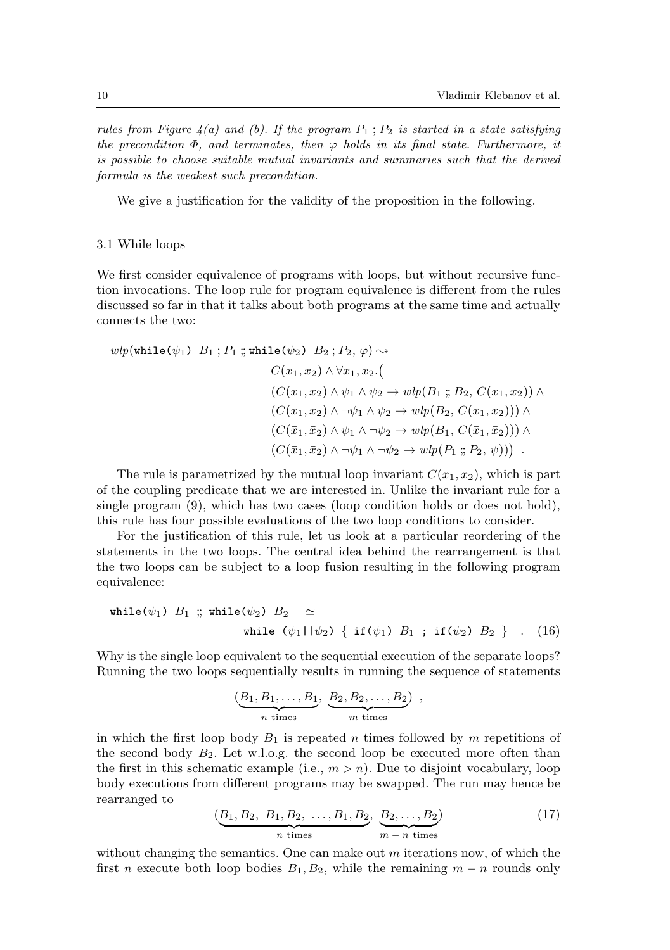rules from Figure 4(a) and (b). If the program  $P_1$ ;  $P_2$  is started in a state satisfying the precondition  $\Phi$ , and terminates, then  $\varphi$  holds in its final state. Furthermore, it is possible to choose suitable mutual invariants and summaries such that the derived formula is the weakest such precondition.

We give a justification for the validity of the proposition in the following.

#### 3.1 While loops

We first consider equivalence of programs with loops, but without recursive function invocations. The loop rule for program equivalence is different from the rules discussed so far in that it talks about both programs at the same time and actually connects the two:

$$
wlp(\text{while}(\psi_1) B_1; P_1; \text{while}(\psi_2) B_2; P_2, \varphi) \sim
$$
  
\n
$$
C(\bar{x}_1, \bar{x}_2) \wedge \forall \bar{x}_1, \bar{x}_2.
$$
  
\n
$$
(C(\bar{x}_1, \bar{x}_2) \wedge \psi_1 \wedge \psi_2 \rightarrow wlp(B_1; B_2, C(\bar{x}_1, \bar{x}_2)) \wedge
$$
  
\n
$$
(C(\bar{x}_1, \bar{x}_2) \wedge \neg \psi_1 \wedge \psi_2 \rightarrow wlp(B_2, C(\bar{x}_1, \bar{x}_2))) \wedge
$$
  
\n
$$
(C(\bar{x}_1, \bar{x}_2) \wedge \psi_1 \wedge \neg \psi_2 \rightarrow wlp(B_1, C(\bar{x}_1, \bar{x}_2))) \wedge
$$
  
\n
$$
(C(\bar{x}_1, \bar{x}_2) \wedge \neg \psi_1 \wedge \neg \psi_2 \rightarrow wlp(P_1; P_2, \psi)))
$$

The rule is parametrized by the mutual loop invariant  $C(\bar{x}_1, \bar{x}_2)$ , which is part of the coupling predicate that we are interested in. Unlike the invariant rule for a single program (9), which has two cases (loop condition holds or does not hold), this rule has four possible evaluations of the two loop conditions to consider.

For the justification of this rule, let us look at a particular reordering of the statements in the two loops. The central idea behind the rearrangement is that the two loops can be subject to a loop fusion resulting in the following program equivalence:

$$
\begin{array}{ccc}\texttt{while}(\psi_1) \ \ B_1\ \ \texttt{;} \ \ \texttt{while}(\psi_2) \ \ B_2\quad\simeq\\ & \texttt{while} \ \ (\psi_1 \textcolor{blue}{\mid} \textcolor{blue}{\downarrow} \psi_2) \ \ \{\ \ \texttt{if}(\psi_1) \ \ B_1\ \ \texttt{;} \ \ \texttt{if}(\psi_2) \ \ B_2\ \} \quad . \ \ (16)\end{array}
$$

Why is the single loop equivalent to the sequential execution of the separate loops? Running the two loops sequentially results in running the sequence of statements

$$
(\underbrace{B_1, B_1, \ldots, B_1}_{n \text{ times}}, \underbrace{B_2, B_2, \ldots, B_2}_{m \text{ times}}),
$$

in which the first loop body  $B_1$  is repeated n times followed by m repetitions of the second body  $B_2$ . Let w.l.o.g. the second loop be executed more often than the first in this schematic example (i.e.,  $m > n$ ). Due to disjoint vocabulary, loop body executions from different programs may be swapped. The run may hence be rearranged to

$$
\underbrace{(B_1, B_2, B_1, B_2, \dots, B_1, B_2, B_2, \dots, B_2)}_{n \text{ times}} \quad (17)
$$

without changing the semantics. One can make out  $m$  iterations now, of which the first n execute both loop bodies  $B_1, B_2$ , while the remaining  $m - n$  rounds only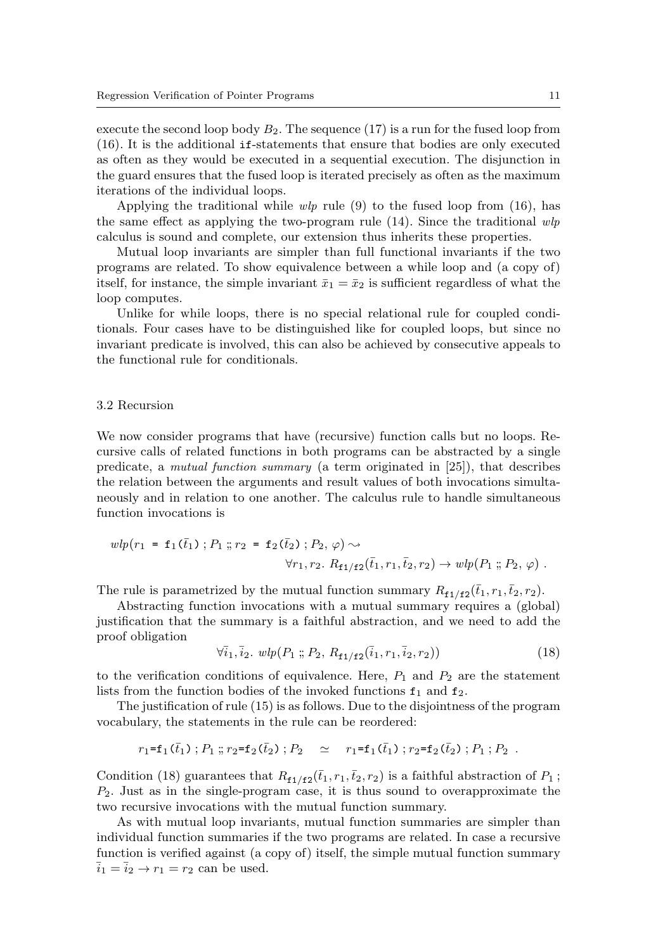execute the second loop body  $B_2$ . The sequence  $(17)$  is a run for the fused loop from (16). It is the additional if-statements that ensure that bodies are only executed as often as they would be executed in a sequential execution. The disjunction in the guard ensures that the fused loop is iterated precisely as often as the maximum iterations of the individual loops.

Applying the traditional while  $wlp$  rule (9) to the fused loop from (16), has the same effect as applying the two-program rule  $(14)$ . Since the traditional wlp calculus is sound and complete, our extension thus inherits these properties.

Mutual loop invariants are simpler than full functional invariants if the two programs are related. To show equivalence between a while loop and (a copy of) itself, for instance, the simple invariant  $\bar{x}_1 = \bar{x}_2$  is sufficient regardless of what the loop computes.

Unlike for while loops, there is no special relational rule for coupled conditionals. Four cases have to be distinguished like for coupled loops, but since no invariant predicate is involved, this can also be achieved by consecutive appeals to the functional rule for conditionals.

#### 3.2 Recursion

We now consider programs that have (recursive) function calls but no loops. Recursive calls of related functions in both programs can be abstracted by a single predicate, a mutual function summary (a term originated in [25]), that describes the relation between the arguments and result values of both invocations simultaneously and in relation to one another. The calculus rule to handle simultaneous function invocations is

$$
wlp(r_1 = f_1(\bar{t}_1); P_1; r_2 = f_2(\bar{t}_2); P_2, \varphi) \sim
$$
  

$$
\forall r_1, r_2. R_{f_1/f_2}(\bar{t}_1, r_1, \bar{t}_2, r_2) \rightarrow wlp(P_1; P_2, \varphi) .
$$

The rule is parametrized by the mutual function summary  $R_{f1/f2}(\bar{t}_1, r_1, \bar{t}_2, r_2)$ .

Abstracting function invocations with a mutual summary requires a (global) justification that the summary is a faithful abstraction, and we need to add the proof obligation

$$
\forall \bar{i}_1, \bar{i}_2. \ wlp(P_1 \ ; P_2, R_{f1/f2}(\bar{i}_1, r_1, \bar{i}_2, r_2)) \tag{18}
$$

to the verification conditions of equivalence. Here,  $P_1$  and  $P_2$  are the statement lists from the function bodies of the invoked functions  $f_1$  and  $f_2$ .

The justification of rule (15) is as follows. Due to the disjointness of the program vocabulary, the statements in the rule can be reordered:

$$
r_1 = \mathbf{f}_1(\bar{t}_1); P_1; r_2 = \mathbf{f}_2(\bar{t}_2); P_2 \simeq r_1 = \mathbf{f}_1(\bar{t}_1); r_2 = \mathbf{f}_2(\bar{t}_2); P_1; P_2.
$$

Condition (18) guarantees that  $R_{f1/f2}(\bar{t}_1, r_1, \bar{t}_2, r_2)$  is a faithful abstraction of  $P_1$ ;  $P_2$ . Just as in the single-program case, it is thus sound to overapproximate the two recursive invocations with the mutual function summary.

As with mutual loop invariants, mutual function summaries are simpler than individual function summaries if the two programs are related. In case a recursive function is verified against (a copy of) itself, the simple mutual function summary  $\overline{i}_1 = \overline{i}_2 \rightarrow r_1 = r_2$  can be used.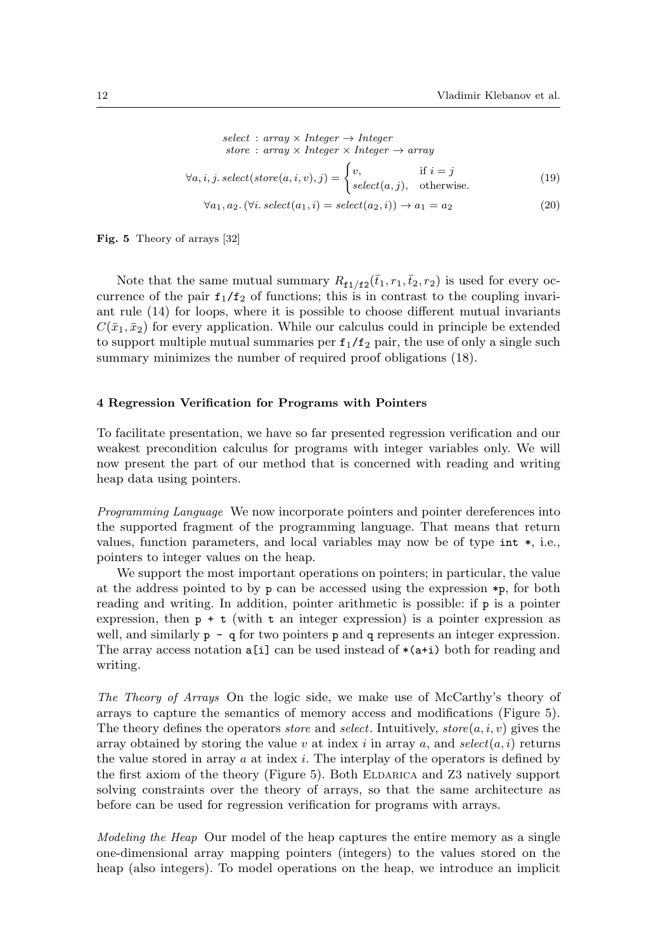$select \, : \, array \times Integer \rightarrow Integer$ store : array  $\times$  Integer  $\times$  Integer  $\rightarrow$  array  $\forall a, i, j. \ select(store(a, i, v), j) = \begin{cases} v, & \text{if } i = j, \end{cases}$  $select(a, j),$  otherwise. (19)  $\forall a_1, a_2. (\forall i. \, select(a_1, i) = select(a_2, i)) \rightarrow a_1 = a_2$  (20)

Fig. 5 Theory of arrays [32]

Note that the same mutual summary  $R_{f1/f2}(\bar{t}_1, r_1, \bar{t}_2, r_2)$  is used for every occurrence of the pair  $f_1/f_2$  of functions; this is in contrast to the coupling invariant rule (14) for loops, where it is possible to choose different mutual invariants  $C(\bar{x}_1, \bar{x}_2)$  for every application. While our calculus could in principle be extended to support multiple mutual summaries per  $f_1/f_2$  pair, the use of only a single such summary minimizes the number of required proof obligations (18).

## 4 Regression Verification for Programs with Pointers

To facilitate presentation, we have so far presented regression verification and our weakest precondition calculus for programs with integer variables only. We will now present the part of our method that is concerned with reading and writing heap data using pointers.

Programming Language We now incorporate pointers and pointer dereferences into the supported fragment of the programming language. That means that return values, function parameters, and local variables may now be of type int \*, i.e., pointers to integer values on the heap.

We support the most important operations on pointers; in particular, the value at the address pointed to by  $p$  can be accessed using the expression  $\ast p$ , for both reading and writing. In addition, pointer arithmetic is possible: if p is a pointer expression, then  $p + t$  (with t an integer expression) is a pointer expression as well, and similarly  $p - q$  for two pointers p and q represents an integer expression. The array access notation  $a[i]$  can be used instead of  $*(a+i)$  both for reading and writing.

The Theory of Arrays On the logic side, we make use of McCarthy's theory of arrays to capture the semantics of memory access and modifications (Figure 5). The theory defines the operators *store* and *select*. Intuitively,  $store(a, i, v)$  gives the array obtained by storing the value v at index i in array a, and select(a, i) returns the value stored in array  $\alpha$  at index  $i$ . The interplay of the operators is defined by the first axiom of the theory (Figure 5). Both ELDARICA and Z3 natively support solving constraints over the theory of arrays, so that the same architecture as before can be used for regression verification for programs with arrays.

Modeling the Heap Our model of the heap captures the entire memory as a single one-dimensional array mapping pointers (integers) to the values stored on the heap (also integers). To model operations on the heap, we introduce an implicit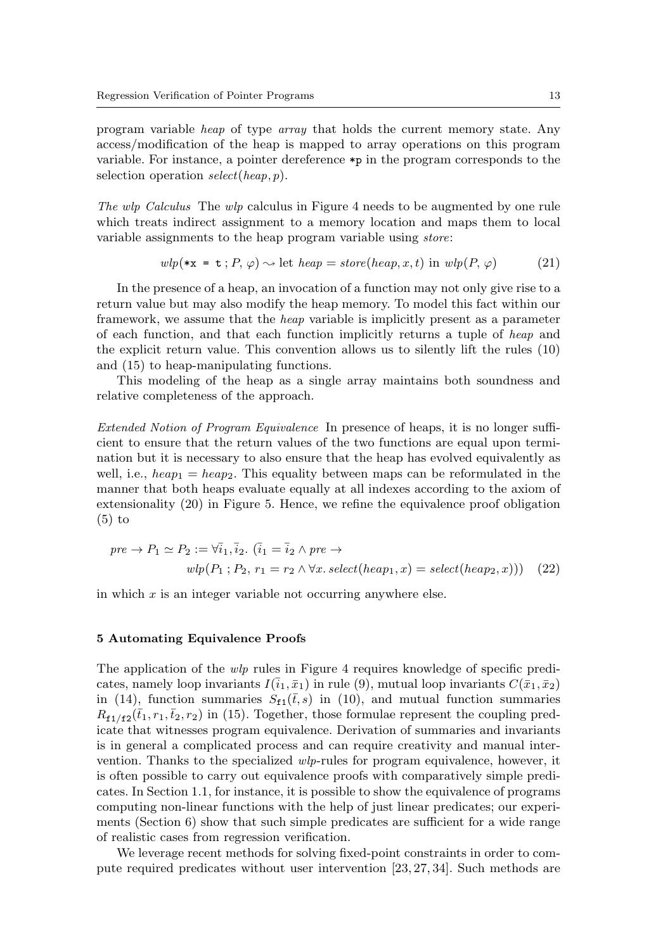program variable heap of type array that holds the current memory state. Any access/modification of the heap is mapped to array operations on this program variable. For instance, a pointer dereference \*p in the program corresponds to the selection operation  $select(headp, p)$ .

The wlp Calculus The wlp calculus in Figure 4 needs to be augmented by one rule which treats indirect assignment to a memory location and maps them to local variable assignments to the heap program variable using store:

$$
wlp(*\mathbf{x} = \mathbf{t}; P, \varphi) \sim \text{let } heap = store(headp, x, t) \text{ in } wlp(P, \varphi) \tag{21}
$$

In the presence of a heap, an invocation of a function may not only give rise to a return value but may also modify the heap memory. To model this fact within our framework, we assume that the heap variable is implicitly present as a parameter of each function, and that each function implicitly returns a tuple of heap and the explicit return value. This convention allows us to silently lift the rules (10) and (15) to heap-manipulating functions.

This modeling of the heap as a single array maintains both soundness and relative completeness of the approach.

Extended Notion of Program Equivalence In presence of heaps, it is no longer sufficient to ensure that the return values of the two functions are equal upon termination but it is necessary to also ensure that the heap has evolved equivalently as well, i.e.,  $heap_1 = heap_2$ . This equality between maps can be reformulated in the manner that both heaps evaluate equally at all indexes according to the axiom of extensionality (20) in Figure 5. Hence, we refine the equivalence proof obligation (5) to

$$
pre \to P_1 \simeq P_2 := \forall \overline{i_1}, \overline{i_2}. \ (\overline{i_1} = \overline{i_2} \land pre \to
$$

$$
wlp(P_1; P_2, r_1 = r_2 \land \forall x. \ select(headp_1, x) = select(headp_2, x))) \tag{22}
$$

in which  $x$  is an integer variable not occurring anywhere else.

## 5 Automating Equivalence Proofs

The application of the *wlp* rules in Figure 4 requires knowledge of specific predicates, namely loop invariants  $I(\bar{i}_1, \bar{x}_1)$  in rule (9), mutual loop invariants  $C(\bar{x}_1, \bar{x}_2)$ in (14), function summaries  $S_{f1}(\bar{t}, s)$  in (10), and mutual function summaries  $R_{f1/f2}(\bar{t}_1, r_1, \bar{t}_2, r_2)$  in (15). Together, those formulae represent the coupling predicate that witnesses program equivalence. Derivation of summaries and invariants is in general a complicated process and can require creativity and manual intervention. Thanks to the specialized wlp-rules for program equivalence, however, it is often possible to carry out equivalence proofs with comparatively simple predicates. In Section 1.1, for instance, it is possible to show the equivalence of programs computing non-linear functions with the help of just linear predicates; our experiments (Section 6) show that such simple predicates are sufficient for a wide range of realistic cases from regression verification.

We leverage recent methods for solving fixed-point constraints in order to compute required predicates without user intervention [23, 27, 34]. Such methods are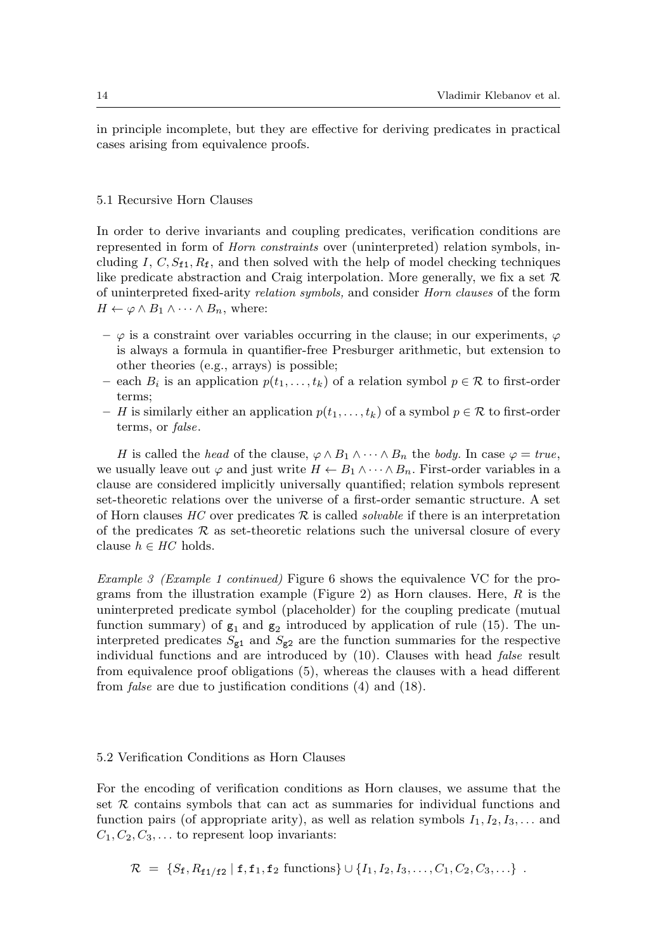in principle incomplete, but they are effective for deriving predicates in practical cases arising from equivalence proofs.

# 5.1 Recursive Horn Clauses

In order to derive invariants and coupling predicates, verification conditions are represented in form of Horn constraints over (uninterpreted) relation symbols, including I,  $C, S_{f1}, R_f$ , and then solved with the help of model checking techniques like predicate abstraction and Craig interpolation. More generally, we fix a set  $\mathcal{R}$ of uninterpreted fixed-arity relation symbols, and consider Horn clauses of the form  $H \leftarrow \varphi \wedge B_1 \wedge \cdots \wedge B_n$ , where:

- $\varphi$  is a constraint over variables occurring in the clause; in our experiments,  $\varphi$ is always a formula in quantifier-free Presburger arithmetic, but extension to other theories (e.g., arrays) is possible;
- − each  $B_i$  is an application  $p(t_1, \ldots, t_k)$  of a relation symbol  $p \in \mathcal{R}$  to first-order terms;
- H is similarly either an application  $p(t_1, \ldots, t_k)$  of a symbol  $p \in \mathcal{R}$  to first-order terms, or false.

H is called the head of the clause,  $\varphi \wedge B_1 \wedge \cdots \wedge B_n$  the body. In case  $\varphi = true$ , we usually leave out  $\varphi$  and just write  $H \leftarrow B_1 \wedge \cdots \wedge B_n$ . First-order variables in a clause are considered implicitly universally quantified; relation symbols represent set-theoretic relations over the universe of a first-order semantic structure. A set of Horn clauses HC over predicates  $\mathcal R$  is called *solvable* if there is an interpretation of the predicates  $\mathcal R$  as set-theoretic relations such the universal closure of every clause  $h \in HC$  holds.

Example 3 (Example 1 continued) Figure 6 shows the equivalence VC for the programs from the illustration example (Figure 2) as Horn clauses. Here,  $R$  is the uninterpreted predicate symbol (placeholder) for the coupling predicate (mutual function summary) of  $g_1$  and  $g_2$  introduced by application of rule (15). The uninterpreted predicates  $S_{g1}$  and  $S_{g2}$  are the function summaries for the respective individual functions and are introduced by (10). Clauses with head false result from equivalence proof obligations (5), whereas the clauses with a head different from false are due to justification conditions (4) and (18).

#### 5.2 Verification Conditions as Horn Clauses

For the encoding of verification conditions as Horn clauses, we assume that the set  $R$  contains symbols that can act as summaries for individual functions and function pairs (of appropriate arity), as well as relation symbols  $I_1, I_2, I_3, \ldots$  and  $C_1, C_2, C_3, \ldots$  to represent loop invariants:

 $\mathcal{R} = \{S_f, R_{f1/f2} \mid f, f_1, f_2 \text{ functions}\} \cup \{I_1, I_2, I_3, \ldots, C_1, C_2, C_3, \ldots\}$ .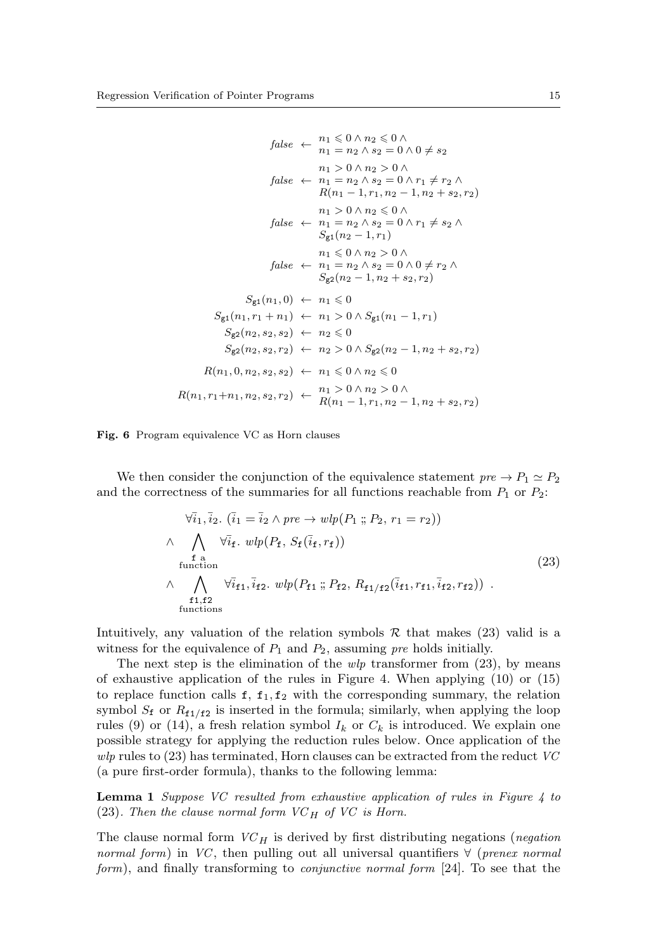$$
false \leftarrow \begin{array}{l} \n \text{false} \leftarrow \begin{array}{l} \n n_1 \leqslant 0 \land n_2 \leqslant 0 \land \\ \n n_1 = n_2 \land s_2 = 0 \land 0 \neq s_2 \n \end{array} \right. \\
 \n \text{false} \leftarrow \begin{array}{l} \n n_1 > 0 \land n_2 > 0 \land \\ \n n_1 = n_2 \land s_2 = 0 \land r_1 \neq r_2 \land \\ \n R(n_1 - 1, r_1, n_2 - 1, n_2 + s_2, r_2) \n \end{array} \right. \\
 \n \text{false} \leftarrow \begin{array}{l} \n n_1 > 0 \land n_2 \leqslant 0 \land \\ \n n_1 = n_2 \land s_2 = 0 \land r_1 \neq s_2 \land \\ \n S_{\text{g1}}(n_2 - 1, r_1) \n \end{array} \right. \\
 \text{false} \leftarrow \begin{array}{l} \n n_1 \leqslant 0 \land n_2 > 0 \land \\ \n n_1 = n_2 \land s_2 = 0 \land 0 \neq r_2 \land \\ \n S_{\text{g2}}(n_2 - 1, n_2 + s_2, r_2) \n \end{array} \right. \\
 \text{Sg1}(n_1, 0) \leftarrow n_1 \leqslant 0 \\
 \text{Sg1}(n_1, r_1 + n_1) \leftarrow n_1 > 0 \land S_{\text{g1}}(n_1 - 1, r_1) \n \end{array} \right. \\
 \text{Sg2}(n_2, s_2, s_2) \leftarrow n_2 \leqslant 0 \\
 \text{Sg2}(n_2, s_2, r_2) \leftarrow n_2 > 0 \land S_{\text{g2}}(n_2 - 1, n_2 + s_2, r_2) \n \end{array} \right. \\
 \text{R}(n_1, 0, n_2, s_2, s_2) \leftarrow n_1 \leqslant 0 \land n_2 \leqslant 0 \\
 \text{R}(n_1, r_1 + n_1, n_2, s_2, r_2) \leftarrow \begin{array}{l} \n n_1 > 0 \land n_2 > 0 \land \\ \n n_1 = 0 \land n_2 > 0 \land \\ \n n_1 =
$$

Fig. 6 Program equivalence VC as Horn clauses

We then consider the conjunction of the equivalence statement  $pre \rightarrow P_1 \simeq P_2$ and the correctness of the summaries for all functions reachable from  $P_1$  or  $P_2$ :

$$
\forall \bar{i}_1, \bar{i}_2. \ (\bar{i}_1 = \bar{i}_2 \land pre \rightarrow wlp(P_1 \lor P_2, r_1 = r_2))
$$
  
\n
$$
\land \bigwedge_{\substack{\mathbf{f} \text{ a} \\ \text{function}}} \forall \bar{i}_\mathbf{f}. \ wlp(P_\mathbf{f}, S_\mathbf{f}(\bar{i}_\mathbf{f}, r_\mathbf{f}))
$$
  
\n
$$
\land \bigwedge_{\substack{\mathbf{f} \text{ a} \\ \text{ f1,f2}}} \forall \bar{i}_\mathbf{f1}, \bar{i}_\mathbf{f2}. \ wlp(P_{\mathbf{f1}} \lor P_{\mathbf{f2}}, R_{\mathbf{f1/f2}}(\bar{i}_\mathbf{f1}, r_{\mathbf{f1}}, \bar{i}_\mathbf{f2}, r_{\mathbf{f2}}))
$$
\n(23)

Intuitively, any valuation of the relation symbols  $\mathcal R$  that makes (23) valid is a witness for the equivalence of  $P_1$  and  $P_2$ , assuming pre holds initially.

The next step is the elimination of the  $wlp$  transformer from (23), by means of exhaustive application of the rules in Figure 4. When applying (10) or (15) to replace function calls  $f, f_1, f_2$  with the corresponding summary, the relation symbol  $S_f$  or  $R_{f1/f2}$  is inserted in the formula; similarly, when applying the loop rules (9) or (14), a fresh relation symbol  $I_k$  or  $C_k$  is introduced. We explain one possible strategy for applying the reduction rules below. Once application of the wlp rules to  $(23)$  has terminated, Horn clauses can be extracted from the reduct VC (a pure first-order formula), thanks to the following lemma:

Lemma 1 Suppose VC resulted from exhaustive application of rules in Figure 4 to (23). Then the clause normal form  $VC_H$  of  $VC$  is Horn.

The clause normal form  $VC_H$  is derived by first distributing negations (*negation*) normal form) in VC, then pulling out all universal quantifiers  $\forall$  (prenex normal form), and finally transforming to *conjunctive normal form* [24]. To see that the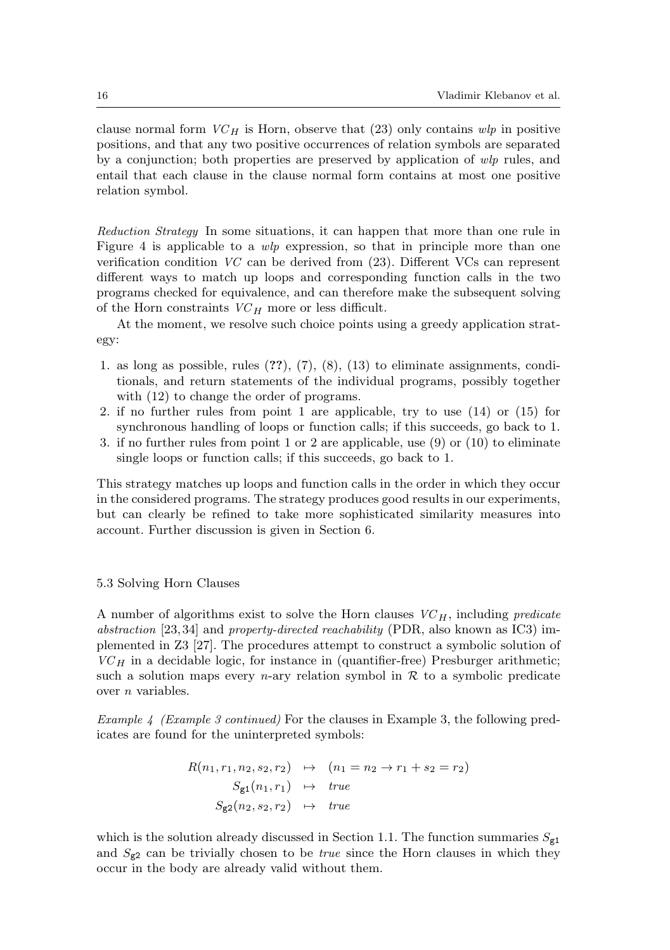clause normal form  $VC_H$  is Horn, observe that (23) only contains  $wlp$  in positive positions, and that any two positive occurrences of relation symbols are separated by a conjunction; both properties are preserved by application of wlp rules, and entail that each clause in the clause normal form contains at most one positive relation symbol.

Reduction Strategy In some situations, it can happen that more than one rule in Figure 4 is applicable to a wlp expression, so that in principle more than one verification condition VC can be derived from (23). Different VCs can represent different ways to match up loops and corresponding function calls in the two programs checked for equivalence, and can therefore make the subsequent solving of the Horn constraints  $VC_H$  more or less difficult.

At the moment, we resolve such choice points using a greedy application strategy:

- 1. as long as possible, rules (??), (7), (8), (13) to eliminate assignments, conditionals, and return statements of the individual programs, possibly together with  $(12)$  to change the order of programs.
- 2. if no further rules from point 1 are applicable, try to use (14) or (15) for synchronous handling of loops or function calls; if this succeeds, go back to 1.
- 3. if no further rules from point 1 or 2 are applicable, use (9) or (10) to eliminate single loops or function calls; if this succeeds, go back to 1.

This strategy matches up loops and function calls in the order in which they occur in the considered programs. The strategy produces good results in our experiments, but can clearly be refined to take more sophisticated similarity measures into account. Further discussion is given in Section 6.

#### 5.3 Solving Horn Clauses

A number of algorithms exist to solve the Horn clauses  $VC_H$ , including *predicate* abstraction [23, 34] and property-directed reachability (PDR, also known as IC3) implemented in Z3 [27]. The procedures attempt to construct a symbolic solution of  $VC_H$  in a decidable logic, for instance in (quantifier-free) Presburger arithmetic; such a solution maps every *n*-ary relation symbol in  $R$  to a symbolic predicate over n variables.

Example 4 (Example 3 continued) For the clauses in Example 3, the following predicates are found for the uninterpreted symbols:

$$
R(n_1, r_1, n_2, s_2, r_2) \rightarrow (n_1 = n_2 \rightarrow r_1 + s_2 = r_2)
$$
  
\n
$$
S_{g1}(n_1, r_1) \rightarrow true
$$
  
\n
$$
S_{g2}(n_2, s_2, r_2) \rightarrow true
$$

which is the solution already discussed in Section 1.1. The function summaries  $S_{g1}$ and  $S_{g2}$  can be trivially chosen to be *true* since the Horn clauses in which they occur in the body are already valid without them.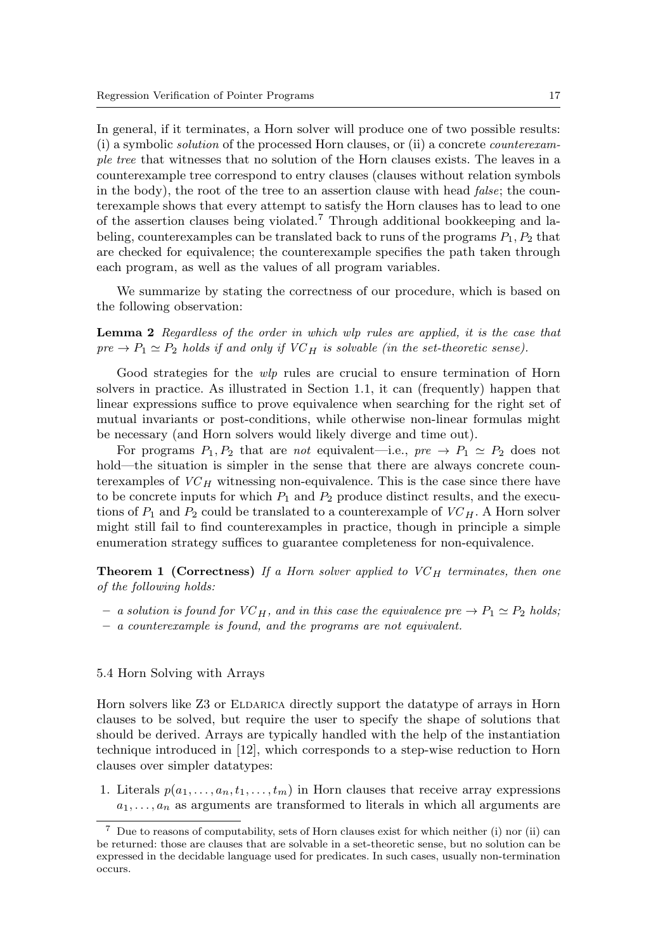In general, if it terminates, a Horn solver will produce one of two possible results: (i) a symbolic solution of the processed Horn clauses, or (ii) a concrete counterexample tree that witnesses that no solution of the Horn clauses exists. The leaves in a counterexample tree correspond to entry clauses (clauses without relation symbols in the body), the root of the tree to an assertion clause with head false; the counterexample shows that every attempt to satisfy the Horn clauses has to lead to one of the assertion clauses being violated.<sup>7</sup> Through additional bookkeeping and labeling, counterexamples can be translated back to runs of the programs  $P_1, P_2$  that are checked for equivalence; the counterexample specifies the path taken through each program, as well as the values of all program variables.

We summarize by stating the correctness of our procedure, which is based on the following observation:

Lemma 2 Regardless of the order in which wlp rules are applied, it is the case that  $pre \rightarrow P_1 \simeq P_2$  holds if and only if  $VC_H$  is solvable (in the set-theoretic sense).

Good strategies for the *wlp* rules are crucial to ensure termination of Horn solvers in practice. As illustrated in Section 1.1, it can (frequently) happen that linear expressions suffice to prove equivalence when searching for the right set of mutual invariants or post-conditions, while otherwise non-linear formulas might be necessary (and Horn solvers would likely diverge and time out).

For programs  $P_1, P_2$  that are not equivalent—i.e.,  $pre \rightarrow P_1 \simeq P_2$  does not hold—the situation is simpler in the sense that there are always concrete counterexamples of  $VC_H$  witnessing non-equivalence. This is the case since there have to be concrete inputs for which  $P_1$  and  $P_2$  produce distinct results, and the executions of  $P_1$  and  $P_2$  could be translated to a counterexample of  $VC_H$ . A Horn solver might still fail to find counterexamples in practice, though in principle a simple enumeration strategy suffices to guarantee completeness for non-equivalence.

**Theorem 1 (Correctness)** If a Horn solver applied to  $VC_H$  terminates, then one of the following holds:

- a solution is found for  $VC_H$ , and in this case the equivalence pre  $\rightarrow P_1 \simeq P_2$  holds;
- a counterexample is found, and the programs are not equivalent.

## 5.4 Horn Solving with Arrays

Horn solvers like Z3 or ELDARICA directly support the datatype of arrays in Horn clauses to be solved, but require the user to specify the shape of solutions that should be derived. Arrays are typically handled with the help of the instantiation technique introduced in [12], which corresponds to a step-wise reduction to Horn clauses over simpler datatypes:

1. Literals  $p(a_1, \ldots, a_n, t_1, \ldots, t_m)$  in Horn clauses that receive array expressions  $a_1, \ldots, a_n$  as arguments are transformed to literals in which all arguments are

<sup>7</sup> Due to reasons of computability, sets of Horn clauses exist for which neither (i) nor (ii) can be returned: those are clauses that are solvable in a set-theoretic sense, but no solution can be expressed in the decidable language used for predicates. In such cases, usually non-termination occurs.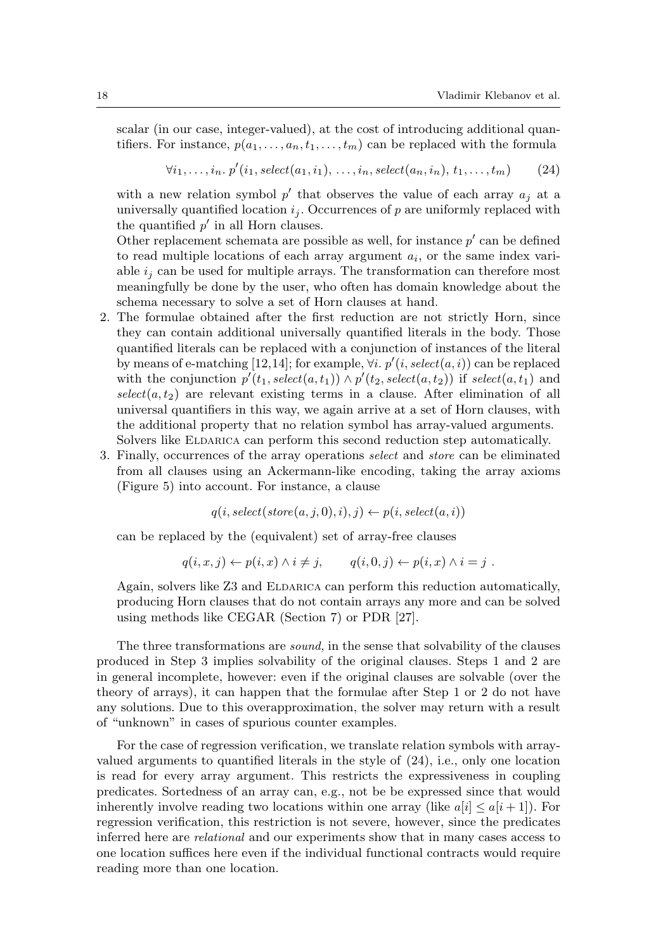scalar (in our case, integer-valued), at the cost of introducing additional quantifiers. For instance,  $p(a_1, \ldots, a_n, t_1, \ldots, t_m)$  can be replaced with the formula

 $\forall i_1, \ldots, i_n \ldotp p'(i_1, select(a_1, i_1), \ldots, i_n, select(a_n, i_n), t_1, \ldots, t_m)$  (24)

with a new relation symbol  $p'$  that observes the value of each array  $a_j$  at a universally quantified location  $i_j$ . Occurrences of p are uniformly replaced with the quantified  $p'$  in all Horn clauses.

Other replacement schemata are possible as well, for instance  $p'$  can be defined to read multiple locations of each array argument  $a_i$ , or the same index variable  $i_j$  can be used for multiple arrays. The transformation can therefore most meaningfully be done by the user, who often has domain knowledge about the schema necessary to solve a set of Horn clauses at hand.

- 2. The formulae obtained after the first reduction are not strictly Horn, since they can contain additional universally quantified literals in the body. Those quantified literals can be replaced with a conjunction of instances of the literal by means of e-matching [12,14]; for example,  $\forall i. p'(i, select(a, i))$  can be replaced with the conjunction  $p'(t_1, select(a, t_1)) \wedge p'(t_2, select(a, t_2))$  if  $select(a, t_1)$  and  $select(a, t_2)$  are relevant existing terms in a clause. After elimination of all universal quantifiers in this way, we again arrive at a set of Horn clauses, with the additional property that no relation symbol has array-valued arguments. Solvers like Eldarica can perform this second reduction step automatically.
- 3. Finally, occurrences of the array operations select and store can be eliminated from all clauses using an Ackermann-like encoding, taking the array axioms (Figure 5) into account. For instance, a clause

 $q(i, select(store(a, j, 0), i), j) \leftarrow p(i, select(a, i))$ 

can be replaced by the (equivalent) set of array-free clauses

$$
q(i, x, j) \leftarrow p(i, x) \land i \neq j, \qquad q(i, 0, j) \leftarrow p(i, x) \land i = j.
$$

Again, solvers like Z3 and ELDARICA can perform this reduction automatically, producing Horn clauses that do not contain arrays any more and can be solved using methods like CEGAR (Section 7) or PDR [27].

The three transformations are sound, in the sense that solvability of the clauses produced in Step 3 implies solvability of the original clauses. Steps 1 and 2 are in general incomplete, however: even if the original clauses are solvable (over the theory of arrays), it can happen that the formulae after Step 1 or 2 do not have any solutions. Due to this overapproximation, the solver may return with a result of "unknown" in cases of spurious counter examples.

For the case of regression verification, we translate relation symbols with arrayvalued arguments to quantified literals in the style of (24), i.e., only one location is read for every array argument. This restricts the expressiveness in coupling predicates. Sortedness of an array can, e.g., not be be expressed since that would inherently involve reading two locations within one array (like  $a[i] \leq a[i+1]$ ). For regression verification, this restriction is not severe, however, since the predicates inferred here are relational and our experiments show that in many cases access to one location suffices here even if the individual functional contracts would require reading more than one location.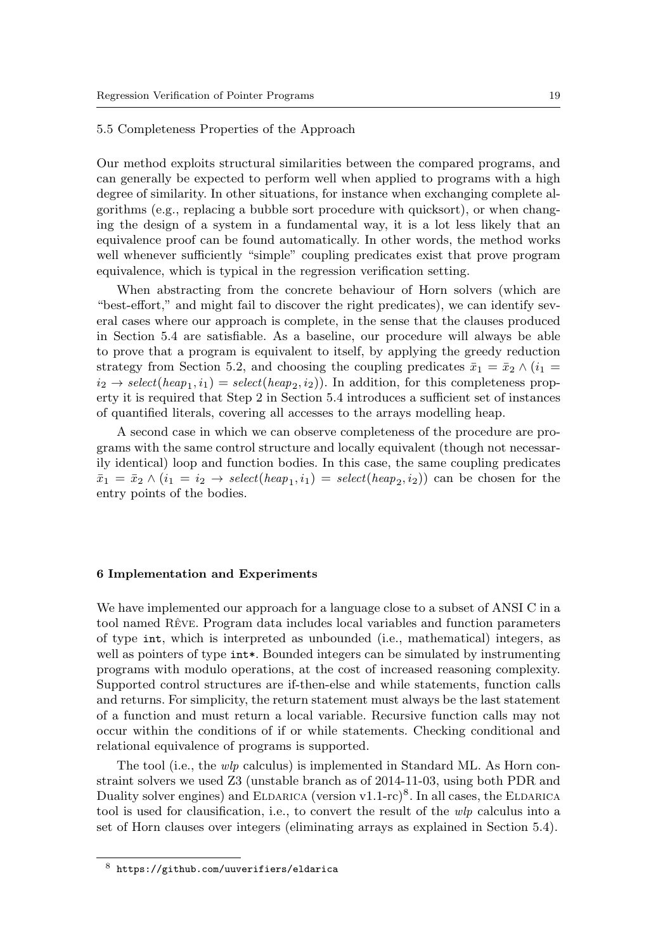#### 5.5 Completeness Properties of the Approach

Our method exploits structural similarities between the compared programs, and can generally be expected to perform well when applied to programs with a high degree of similarity. In other situations, for instance when exchanging complete algorithms (e.g., replacing a bubble sort procedure with quicksort), or when changing the design of a system in a fundamental way, it is a lot less likely that an equivalence proof can be found automatically. In other words, the method works well whenever sufficiently "simple" coupling predicates exist that prove program equivalence, which is typical in the regression verification setting.

When abstracting from the concrete behaviour of Horn solvers (which are "best-effort," and might fail to discover the right predicates), we can identify several cases where our approach is complete, in the sense that the clauses produced in Section 5.4 are satisfiable. As a baseline, our procedure will always be able to prove that a program is equivalent to itself, by applying the greedy reduction strategy from Section 5.2, and choosing the coupling predicates  $\bar{x}_1 = \bar{x}_2 \wedge (i_1 =$  $i_2 \rightarrow select(headp_1, i_1) = select(headp_2, i_2)$ . In addition, for this completeness property it is required that Step 2 in Section 5.4 introduces a sufficient set of instances of quantified literals, covering all accesses to the arrays modelling heap.

A second case in which we can observe completeness of the procedure are programs with the same control structure and locally equivalent (though not necessarily identical) loop and function bodies. In this case, the same coupling predicates  $\bar{x}_1 = \bar{x}_2 \wedge (i_1 = i_2 \rightarrow select(headp_1, i_1) = select(headp_2, i_2))$  can be chosen for the entry points of the bodies.

#### 6 Implementation and Experiments

We have implemented our approach for a language close to a subset of ANSI C in a tool named Rêve. Program data includes local variables and function parameters of type int, which is interpreted as unbounded (i.e., mathematical) integers, as well as pointers of type  $int^*$ . Bounded integers can be simulated by instrumenting programs with modulo operations, at the cost of increased reasoning complexity. Supported control structures are if-then-else and while statements, function calls and returns. For simplicity, the return statement must always be the last statement of a function and must return a local variable. Recursive function calls may not occur within the conditions of if or while statements. Checking conditional and relational equivalence of programs is supported.

The tool (i.e., the wlp calculus) is implemented in Standard ML. As Horn constraint solvers we used Z3 (unstable branch as of 2014-11-03, using both PDR and Duality solver engines) and ELDARICA (version v1.1-rc)<sup>8</sup>. In all cases, the ELDARICA tool is used for clausification, i.e., to convert the result of the wlp calculus into a set of Horn clauses over integers (eliminating arrays as explained in Section 5.4).

<sup>8</sup> https://github.com/uuverifiers/eldarica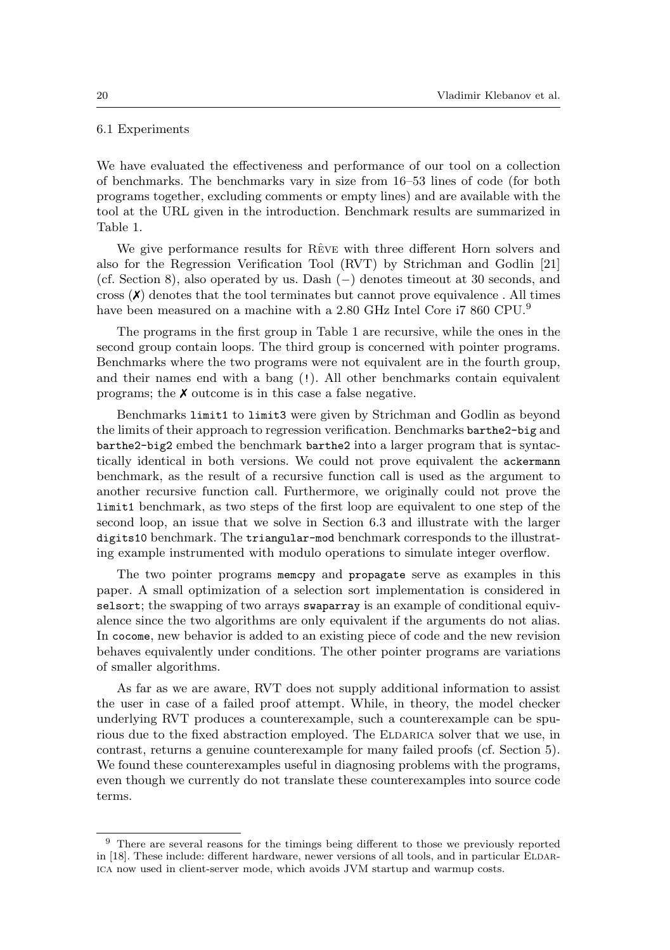#### 6.1 Experiments

We have evaluated the effectiveness and performance of our tool on a collection of benchmarks. The benchmarks vary in size from 16–53 lines of code (for both programs together, excluding comments or empty lines) and are available with the tool at the URL given in the introduction. Benchmark results are summarized in Table 1.

We give performance results for Rêve with three different Horn solvers and also for the Regression Verification Tool (RVT) by Strichman and Godlin [21] (cf. Section 8), also operated by us. Dash (−) denotes timeout at 30 seconds, and cross  $(\lambda)$  denotes that the tool terminates but cannot prove equivalence. All times have been measured on a machine with a 2.80 GHz Intel Core if 860 CPU.<sup>9</sup>

The programs in the first group in Table 1 are recursive, while the ones in the second group contain loops. The third group is concerned with pointer programs. Benchmarks where the two programs were not equivalent are in the fourth group, and their names end with a bang (!). All other benchmarks contain equivalent programs; the ✗ outcome is in this case a false negative.

Benchmarks limit1 to limit3 were given by Strichman and Godlin as beyond the limits of their approach to regression verification. Benchmarks barthe2-big and barthe2-big2 embed the benchmark barthe2 into a larger program that is syntactically identical in both versions. We could not prove equivalent the ackermann benchmark, as the result of a recursive function call is used as the argument to another recursive function call. Furthermore, we originally could not prove the limit1 benchmark, as two steps of the first loop are equivalent to one step of the second loop, an issue that we solve in Section 6.3 and illustrate with the larger digits10 benchmark. The triangular-mod benchmark corresponds to the illustrating example instrumented with modulo operations to simulate integer overflow.

The two pointer programs memcpy and propagate serve as examples in this paper. A small optimization of a selection sort implementation is considered in selsort; the swapping of two arrays swaparray is an example of conditional equivalence since the two algorithms are only equivalent if the arguments do not alias. In cocome, new behavior is added to an existing piece of code and the new revision behaves equivalently under conditions. The other pointer programs are variations of smaller algorithms.

As far as we are aware, RVT does not supply additional information to assist the user in case of a failed proof attempt. While, in theory, the model checker underlying RVT produces a counterexample, such a counterexample can be spurious due to the fixed abstraction employed. The ELDARICA solver that we use, in contrast, returns a genuine counterexample for many failed proofs (cf. Section 5). We found these counterexamples useful in diagnosing problems with the programs, even though we currently do not translate these counterexamples into source code terms.

<sup>9</sup> There are several reasons for the timings being different to those we previously reported in [18]. These include: different hardware, newer versions of all tools, and in particular ELDARica now used in client-server mode, which avoids JVM startup and warmup costs.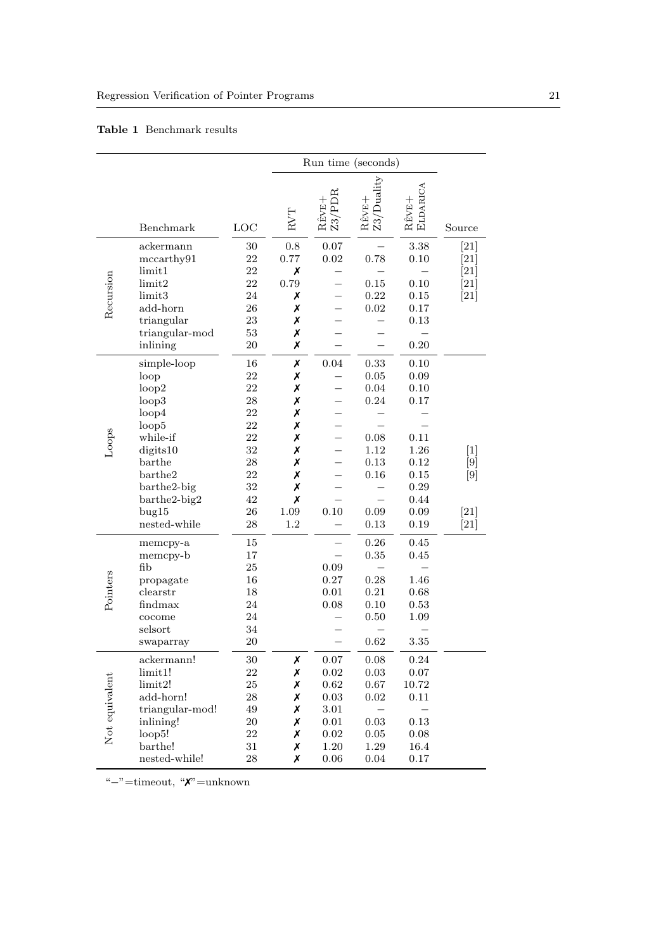# Table 1 Benchmark results

|                |                                                                                                                                                              |                                                                                  | Run time (seconds)                                                      |                                                                      |                                                                              |                                                                                              |                                                                                              |
|----------------|--------------------------------------------------------------------------------------------------------------------------------------------------------------|----------------------------------------------------------------------------------|-------------------------------------------------------------------------|----------------------------------------------------------------------|------------------------------------------------------------------------------|----------------------------------------------------------------------------------------------|----------------------------------------------------------------------------------------------|
|                | Benchmark                                                                                                                                                    | LOC                                                                              | EVE                                                                     | PDR<br>RÊVE <sub>T</sub><br>23/                                      | Z3/Duality<br>RÊVE+                                                          | <b>ELDARICA</b><br>RÊVE+                                                                     | Source                                                                                       |
| Recursion      | ackermann<br>mccarthy91<br>limit1<br>limit2<br>$\lim$ it $3$<br>add-horn<br>triangular<br>triangular-mod<br>inlining                                         | 30<br>22<br>22<br>22<br>24<br>26<br>23<br>53<br>20                               | 0.8<br>0.77<br>Х<br>0.79<br>Х<br>Х<br>Х<br>Х<br>Х                       | 0.07<br>0.02                                                         | 0.78<br>0.15<br>0.22<br>0.02                                                 | 3.38<br>0.10<br>0.10<br>0.15<br>0.17<br>0.13<br>0.20                                         | $\left[ 21\right]$<br>$\left[ 21\right]$<br>[21]<br>$\left[ 21\right]$<br>$\left[ 21\right]$ |
| Loops          | simple-loop<br>loop<br>loop2<br>loop3<br>loop4<br>loop5<br>while-if<br>digits10<br>barthe<br>barthe2<br>barthe2-big<br>barthe2-big2<br>bug15<br>nested-while | 16<br>22<br>22<br>28<br>22<br>22<br>22<br>32<br>28<br>22<br>32<br>42<br>26<br>28 | Х<br>Х<br>Х<br>Х<br>Х<br>Х<br>Х<br>Х<br>Х<br>Х<br>Х<br>Х<br>1.09<br>1.2 | 0.04<br>0.10                                                         | 0.33<br>0.05<br>0.04<br>0.24<br>0.08<br>1.12<br>0.13<br>0.16<br>0.09<br>0.13 | 0.10<br>0.09<br>0.10<br>0.17<br>0.11<br>1.26<br>0.12<br>0.15<br>0.29<br>0.44<br>0.09<br>0.19 | $\lceil 1 \rceil$<br>[9]<br>$\left[ 9 \right]$<br>[21]<br>$[21]$                             |
| Pointers       | memcpy-a<br>memcpy-b<br>fib<br>propagate<br>clearstr<br>findmax<br>cocome<br>selsort<br>swaparray                                                            | 15<br>17<br>25<br>16<br>18<br>24<br>24<br>34<br>20                               |                                                                         | $\overline{\phantom{0}}$<br>0.09<br>0.27<br>0.01<br>0.08             | 0.26<br>0.35<br>0.28<br>0.21<br>0.10<br>0.50<br>0.62                         | 0.45<br>0.45<br>1.46<br>0.68<br>0.53<br>1.09<br>3.35                                         |                                                                                              |
| Not equivalent | ackermann!<br>limit 1!<br>limit2!<br>add-horn!<br>triangular-mod!<br>inlining!<br>loop5!<br>barthe!<br>nested-while!                                         | 30<br>22<br>25<br>28<br>49<br>20<br>22<br>31<br>28                               | Х<br>Х<br>Х<br>Х<br>Х<br>Х<br>Х<br>Х<br>Х                               | 0.07<br>0.02<br>0.62<br>0.03<br>3.01<br>0.01<br>0.02<br>1.20<br>0.06 | 0.08<br>0.03<br>0.67<br>0.02<br>0.03<br>0.05<br>1.29<br>0.04                 | 0.24<br>0.07<br>10.72<br>0.11<br>0.13<br>0.08<br>16.4<br>0.17                                |                                                                                              |

"−"=timeout, "✗"=unknown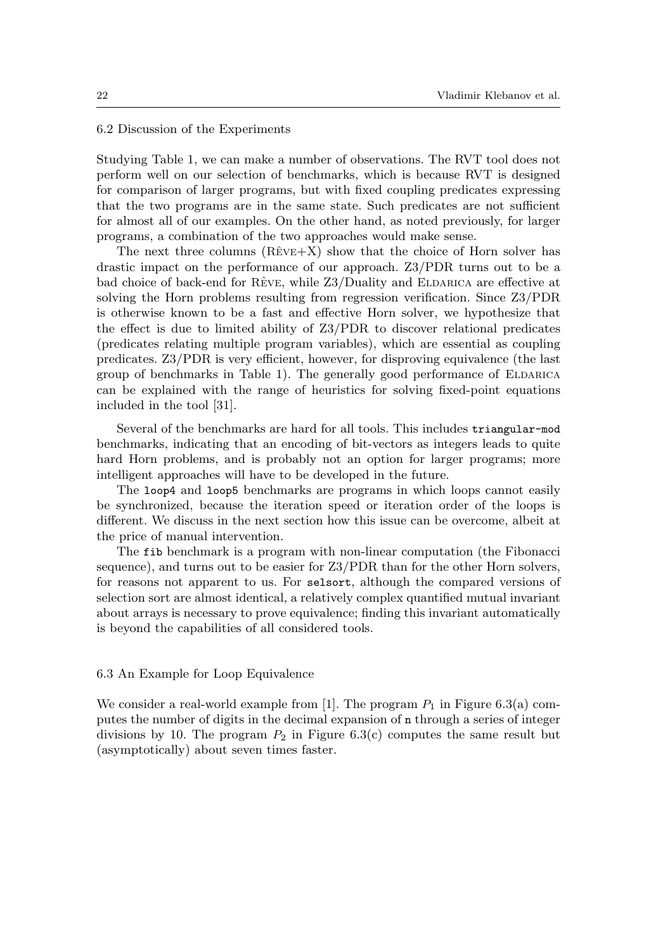#### 6.2 Discussion of the Experiments

Studying Table 1, we can make a number of observations. The RVT tool does not perform well on our selection of benchmarks, which is because RVT is designed for comparison of larger programs, but with fixed coupling predicates expressing that the two programs are in the same state. Such predicates are not sufficient for almost all of our examples. On the other hand, as noted previously, for larger programs, a combination of the two approaches would make sense.

The next three columns  $(R\hat{E}VE+X)$  show that the choice of Horn solver has drastic impact on the performance of our approach. Z3/PDR turns out to be a bad choice of back-end for R $\hat{E}VE$ , while  $Z3/Duality$  and ELDARICA are effective at solving the Horn problems resulting from regression verification. Since Z3/PDR is otherwise known to be a fast and effective Horn solver, we hypothesize that the effect is due to limited ability of Z3/PDR to discover relational predicates (predicates relating multiple program variables), which are essential as coupling predicates. Z3/PDR is very efficient, however, for disproving equivalence (the last group of benchmarks in Table 1). The generally good performance of ELDARICA can be explained with the range of heuristics for solving fixed-point equations included in the tool [31].

Several of the benchmarks are hard for all tools. This includes triangular-mod benchmarks, indicating that an encoding of bit-vectors as integers leads to quite hard Horn problems, and is probably not an option for larger programs; more intelligent approaches will have to be developed in the future.

The loop4 and loop5 benchmarks are programs in which loops cannot easily be synchronized, because the iteration speed or iteration order of the loops is different. We discuss in the next section how this issue can be overcome, albeit at the price of manual intervention.

The fib benchmark is a program with non-linear computation (the Fibonacci sequence), and turns out to be easier for Z3/PDR than for the other Horn solvers, for reasons not apparent to us. For selsort, although the compared versions of selection sort are almost identical, a relatively complex quantified mutual invariant about arrays is necessary to prove equivalence; finding this invariant automatically is beyond the capabilities of all considered tools.

## 6.3 An Example for Loop Equivalence

We consider a real-world example from [1]. The program  $P_1$  in Figure 6.3(a) computes the number of digits in the decimal expansion of n through a series of integer divisions by 10. The program  $P_2$  in Figure 6.3(c) computes the same result but (asymptotically) about seven times faster.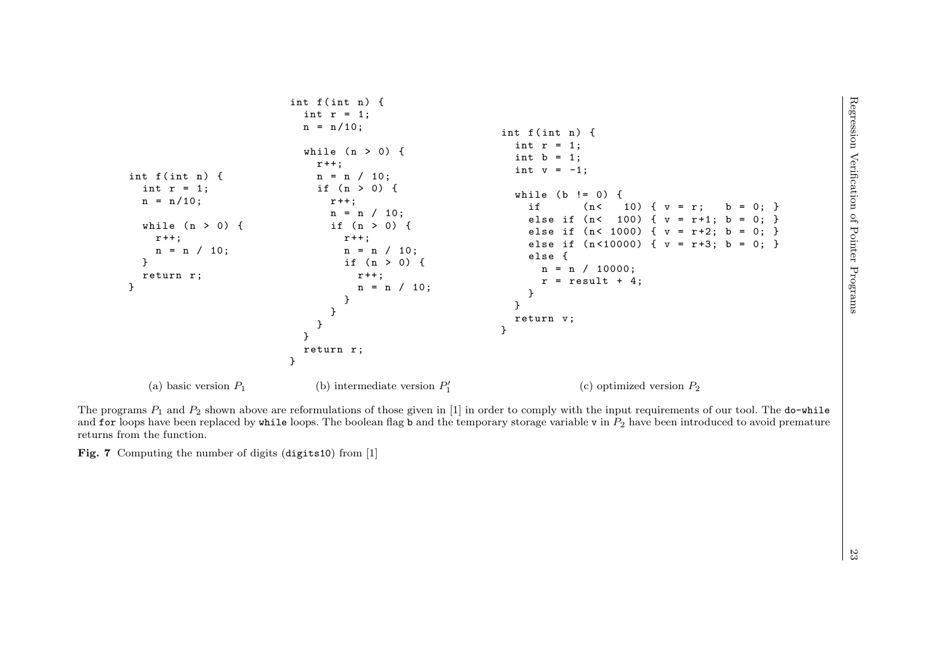

Regression Verification of Pointer Programs 23 int f( int n) { int <sup>r</sup> <sup>=</sup> 1; <sup>n</sup> <sup>=</sup> <sup>n</sup> /10; while (n <sup>&</sup>gt; 0) { <sup>r</sup> ++; <sup>n</sup> <sup>=</sup> <sup>n</sup> / 10; } return r;}int  $f(int n)$  { int  $r = 1$ ; <sup>n</sup> <sup>=</sup> <sup>n</sup> /10;while  $(n > 0)$  {  $r$  + + ; <sup>n</sup> <sup>=</sup> <sup>n</sup> / 10; if (n <sup>&</sup>gt; 0) { $r$  + + ; <sup>n</sup> <sup>=</sup> <sup>n</sup> / 10; if (n <sup>&</sup>gt; 0) { $r++$ : <sup>n</sup> <sup>=</sup> <sup>n</sup> / 10; if (n <sup>&</sup>gt; 0) { $r$  + +; <sup>n</sup> <sup>=</sup> <sup>n</sup> / 10;}}}} return r;}int  $f(int n)$  { int  $r = 1$ ; int b <sup>=</sup> 1; int <sup>v</sup> <sup>=</sup> -1;while  $(b \mid b)$  { if  $(n < 10)$  {  $v = r$ ;  $b = 0$ ; } else if (n <sup>&</sup>lt; 100) { <sup>v</sup> <sup>=</sup> <sup>r</sup> +1; b <sup>=</sup> 0; }else if (n< 1000) { v = r+2; b = 0; } else if (n <10000) { <sup>v</sup> <sup>=</sup> <sup>r</sup> +3; b <sup>=</sup> 0; }else { <sup>n</sup> <sup>=</sup> <sup>n</sup> / 10000; <sup>r</sup> <sup>=</sup> result <sup>+</sup> 4;}} return v;}(a) basic version  $P_1$  $P_1$  (b) intermediate version  $P_1'$  $\binom{b}{1}$  (c) optimized version  $P_2$ 

The programs  $P_1$  and  $P_2$  shown above are reformulations of those given in [1] in order to comply with the input requirements of our tool. The do-while and for loops have been replaced by while loops. The boolean flag b and the temporary storage variable v in  $P_2$  have been introduced to avoid premature returns from the function.

Fig. 7 Computing the number of digits (digits10) from [1]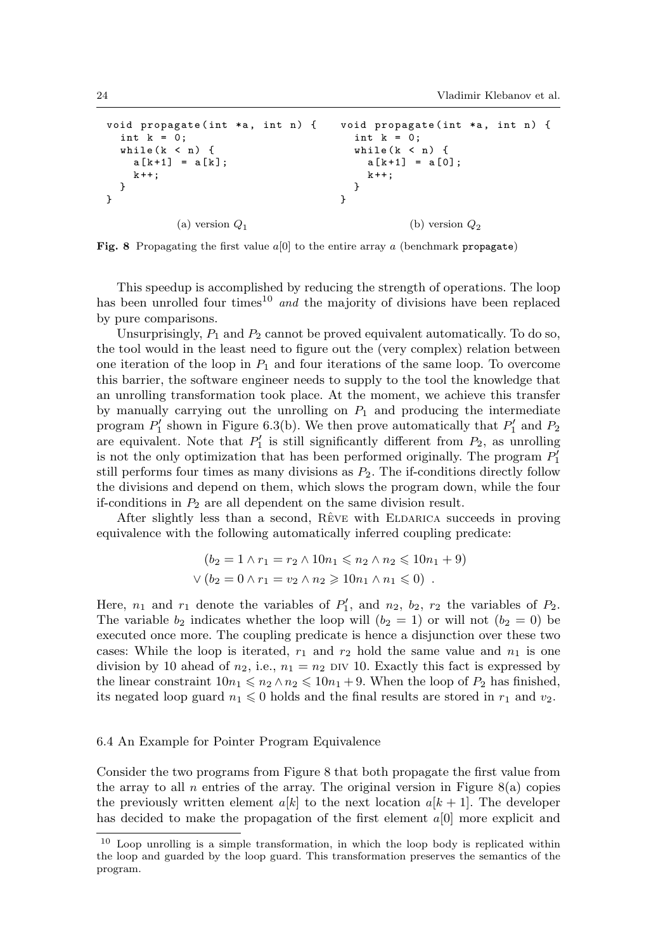```
void propagate (int *a, int n) {
  int k = 0;
  while (k < n) {
    a[k+1] = a[k];k++:
  }
}
                                       void propagate (int *a, int n) {
                                         int k = 0;
                                         while (k < n) {
                                            a[k+1] = a[0];k + +:
                                         }
                                       }
           (a) version Q_1(b) version Q_2
```
Fig. 8 Propagating the first value  $a[0]$  to the entire array a (benchmark propagate)

This speedup is accomplished by reducing the strength of operations. The loop has been unrolled four times<sup>10</sup> and the majority of divisions have been replaced by pure comparisons.

Unsurprisingly,  $P_1$  and  $P_2$  cannot be proved equivalent automatically. To do so, the tool would in the least need to figure out the (very complex) relation between one iteration of the loop in  $P_1$  and four iterations of the same loop. To overcome this barrier, the software engineer needs to supply to the tool the knowledge that an unrolling transformation took place. At the moment, we achieve this transfer by manually carrying out the unrolling on  $P_1$  and producing the intermediate program  $P'_1$  shown in Figure 6.3(b). We then prove automatically that  $P'_1$  and  $P_2$ are equivalent. Note that  $P'_1$  is still significantly different from  $P_2$ , as unrolling is not the only optimization that has been performed originally. The program  $P'_1$ still performs four times as many divisions as  $P_2$ . The if-conditions directly follow the divisions and depend on them, which slows the program down, while the four if-conditions in  $P_2$  are all dependent on the same division result.

After slightly less than a second,  $R$  five with ELDARICA succeeds in proving equivalence with the following automatically inferred coupling predicate:

$$
(b_2 = 1 \land r_1 = r_2 \land 10n_1 \leq n_2 \land n_2 \leq 10n_1 + 9)
$$
  
 
$$
\lor (b_2 = 0 \land r_1 = v_2 \land n_2 \geq 10n_1 \land n_1 \leq 0) .
$$

Here,  $n_1$  and  $r_1$  denote the variables of  $P'_1$ , and  $n_2$ ,  $b_2$ ,  $r_2$  the variables of  $P_2$ . The variable  $b_2$  indicates whether the loop will  $(b_2 = 1)$  or will not  $(b_2 = 0)$  be executed once more. The coupling predicate is hence a disjunction over these two cases: While the loop is iterated,  $r_1$  and  $r_2$  hold the same value and  $n_1$  is one division by 10 ahead of  $n_2$ , i.e.,  $n_1 = n_2$  div 10. Exactly this fact is expressed by the linear constraint  $10n_1 \leq n_2 \wedge n_2 \leq 10n_1 + 9$ . When the loop of  $P_2$  has finished, its negated loop guard  $n_1 \leq 0$  holds and the final results are stored in  $r_1$  and  $v_2$ .

#### 6.4 An Example for Pointer Program Equivalence

Consider the two programs from Figure 8 that both propagate the first value from the array to all n entries of the array. The original version in Figure  $8(a)$  copies the previously written element  $a[k]$  to the next location  $a[k+1]$ . The developer has decided to make the propagation of the first element  $a[0]$  more explicit and

<sup>10</sup> Loop unrolling is a simple transformation, in which the loop body is replicated within the loop and guarded by the loop guard. This transformation preserves the semantics of the program.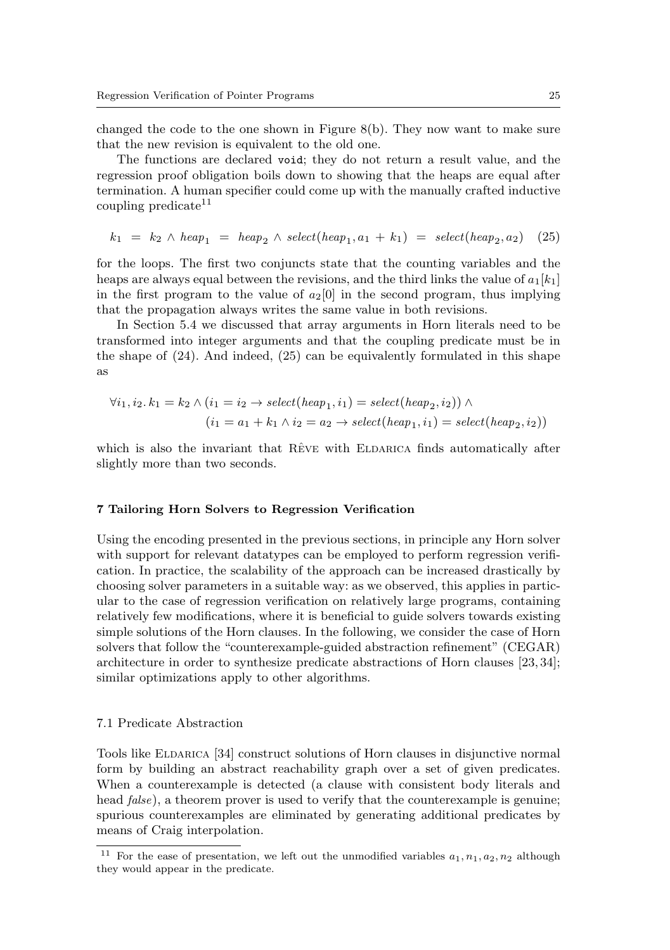changed the code to the one shown in Figure 8(b). They now want to make sure that the new revision is equivalent to the old one.

The functions are declared void; they do not return a result value, and the regression proof obligation boils down to showing that the heaps are equal after termination. A human specifier could come up with the manually crafted inductive coupling predicate<sup>11</sup>

$$
k_1 = k_2 \wedge \text{heap}_1 = \text{heap}_2 \wedge \text{ select}(\text{heap}_1, a_1 + k_1) = \text{ select}(\text{heap}_2, a_2) \quad (25)
$$

for the loops. The first two conjuncts state that the counting variables and the heaps are always equal between the revisions, and the third links the value of  $a_1[k_1]$ in the first program to the value of  $a_2[0]$  in the second program, thus implying that the propagation always writes the same value in both revisions.

In Section 5.4 we discussed that array arguments in Horn literals need to be transformed into integer arguments and that the coupling predicate must be in the shape of (24). And indeed, (25) can be equivalently formulated in this shape as

$$
\forall i_1, i_2. k_1 = k_2 \land (i_1 = i_2 \rightarrow select(head_{11}, i_1) = select(head_{21}, i_2)) \land (i_1 = a_1 + k_1 \land i_2 = a_2 \rightarrow select(head_{11}, i_1) = select(head_{21}, i_2))
$$

which is also the invariant that  $R$ ÊVE with ELDARICA finds automatically after slightly more than two seconds.

#### 7 Tailoring Horn Solvers to Regression Verification

Using the encoding presented in the previous sections, in principle any Horn solver with support for relevant datatypes can be employed to perform regression verification. In practice, the scalability of the approach can be increased drastically by choosing solver parameters in a suitable way: as we observed, this applies in particular to the case of regression verification on relatively large programs, containing relatively few modifications, where it is beneficial to guide solvers towards existing simple solutions of the Horn clauses. In the following, we consider the case of Horn solvers that follow the "counterexample-guided abstraction refinement" (CEGAR) architecture in order to synthesize predicate abstractions of Horn clauses [23, 34]; similar optimizations apply to other algorithms.

#### 7.1 Predicate Abstraction

Tools like ELDARICA [34] construct solutions of Horn clauses in disjunctive normal form by building an abstract reachability graph over a set of given predicates. When a counterexample is detected (a clause with consistent body literals and head *false*), a theorem prover is used to verify that the counterexample is genuine; spurious counterexamples are eliminated by generating additional predicates by means of Craig interpolation.

<sup>&</sup>lt;sup>11</sup> For the ease of presentation, we left out the unmodified variables  $a_1, n_1, a_2, n_2$  although they would appear in the predicate.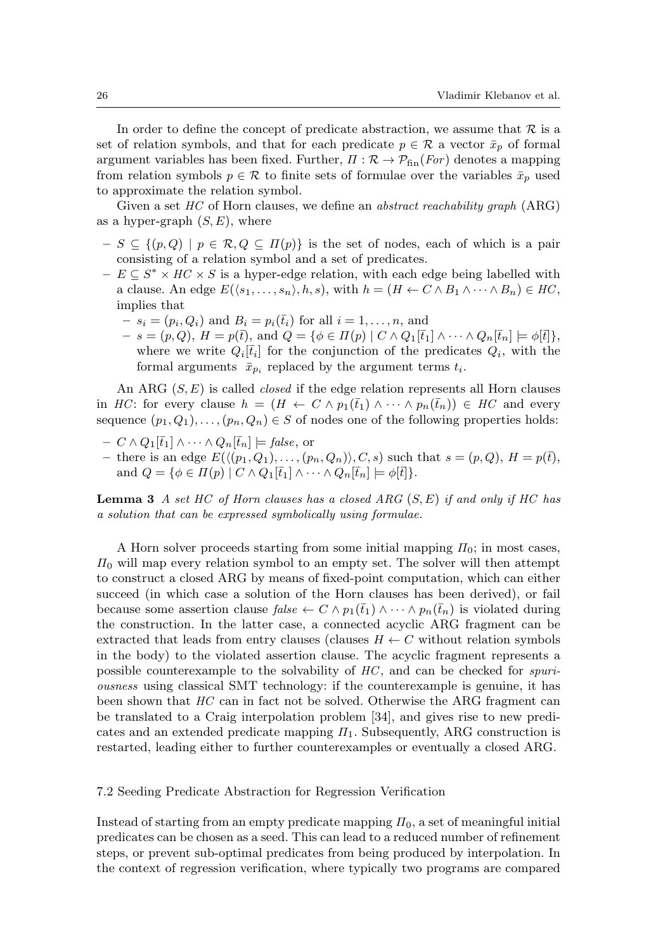In order to define the concept of predicate abstraction, we assume that  $R$  is a set of relation symbols, and that for each predicate  $p \in \mathcal{R}$  a vector  $\bar{x}_p$  of formal argument variables has been fixed. Further,  $\Pi : \mathcal{R} \to \mathcal{P}_{\text{fin}}(For)$  denotes a mapping from relation symbols  $p \in \mathcal{R}$  to finite sets of formulae over the variables  $\bar{x}_p$  used to approximate the relation symbol.

Given a set  $HC$  of Horn clauses, we define an *abstract reachability graph* (ARG) as a hyper-graph  $(S, E)$ , where

- $-S \subseteq \{(p,Q) \mid p \in \mathcal{R}, Q \subseteq \Pi(p)\}\$ is the set of nodes, each of which is a pair consisting of a relation symbol and a set of predicates.
- $E \subseteq S^* \times HC \times S$  is a hyper-edge relation, with each edge being labelled with a clause. An edge  $E(\langle s_1, \ldots, s_n \rangle, h, s)$ , with  $h = (H \leftarrow C \wedge B_1 \wedge \cdots \wedge B_n) \in HC$ , implies that
	- $-s_i = (p_i, Q_i)$  and  $B_i = p_i(\bar{t}_i)$  for all  $i = 1, \ldots, n$ , and
	- $-s = (p, Q), H = p(\bar{t}), \text{ and } Q = \{ \phi \in \Pi(p) \mid C \wedge Q_1[\bar{t}_1] \wedge \cdots \wedge Q_n[\bar{t}_n] \models \phi[\bar{t}]\},\$ where we write  $Q_i[\bar{t}_i]$  for the conjunction of the predicates  $Q_i$ , with the formal arguments  $\bar{x}_{p_i}$  replaced by the argument terms  $t_i$ .

An ARG  $(S, E)$  is called *closed* if the edge relation represents all Horn clauses in HC: for every clause  $h = (H \leftarrow C \wedge p_1(\bar{t}_1) \wedge \cdots \wedge p_n(\bar{t}_n)) \in HC$  and every sequence  $(p_1, Q_1), \ldots, (p_n, Q_n) \in S$  of nodes one of the following properties holds:

- $C \wedge Q_1[\bar{t}_1] \wedge \cdots \wedge Q_n[\bar{t}_n] \models \text{false}, \text{or}$
- there is an edge  $E(\langle (p_1, Q_1), \ldots, (p_n, Q_n) \rangle, C, s)$  such that  $s = (p, Q), H = p(\bar{t}),$ and  $Q = \{\phi \in \Pi(p) \mid C \wedge Q_1[\bar{t}_1] \wedge \cdots \wedge Q_n[\bar{t}_n] \models \phi[\bar{t}]\}.$

**Lemma 3** A set HC of Horn clauses has a closed ARG  $(S, E)$  if and only if HC has a solution that can be expressed symbolically using formulae.

A Horn solver proceeds starting from some initial mapping  $\Pi_0$ ; in most cases,  $\Pi_0$  will map every relation symbol to an empty set. The solver will then attempt to construct a closed ARG by means of fixed-point computation, which can either succeed (in which case a solution of the Horn clauses has been derived), or fail because some assertion clause  $false \leftarrow C \wedge p_1(\bar{t}_1) \wedge \cdots \wedge p_n(\bar{t}_n)$  is violated during the construction. In the latter case, a connected acyclic ARG fragment can be extracted that leads from entry clauses (clauses  $H \leftarrow C$  without relation symbols in the body) to the violated assertion clause. The acyclic fragment represents a possible counterexample to the solvability of HC, and can be checked for spuriousness using classical SMT technology: if the counterexample is genuine, it has been shown that HC can in fact not be solved. Otherwise the ARG fragment can be translated to a Craig interpolation problem [34], and gives rise to new predicates and an extended predicate mapping  $\Pi_1$ . Subsequently, ARG construction is restarted, leading either to further counterexamples or eventually a closed ARG.

7.2 Seeding Predicate Abstraction for Regression Verification

Instead of starting from an empty predicate mapping  $\Pi_0$ , a set of meaningful initial predicates can be chosen as a seed. This can lead to a reduced number of refinement steps, or prevent sub-optimal predicates from being produced by interpolation. In the context of regression verification, where typically two programs are compared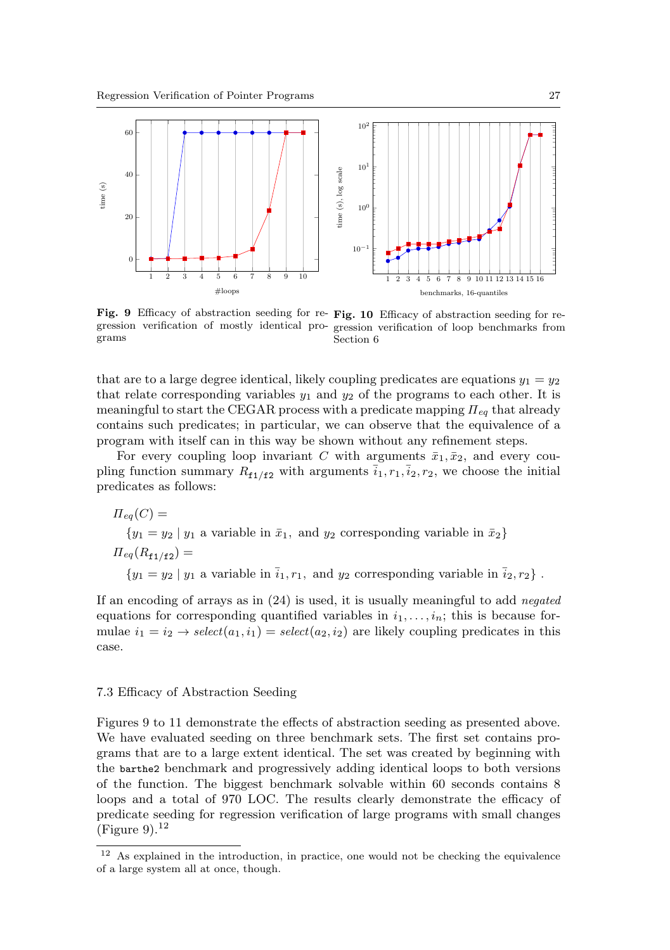



Fig. 9 Efficacy of abstraction seeding for re- Fig. 10 Efficacy of abstraction seeding for regrams

gression verification of mostly identical pro-gression verification of loop benchmarks from Section 6

that are to a large degree identical, likely coupling predicates are equations  $y_1 = y_2$ that relate corresponding variables  $y_1$  and  $y_2$  of the programs to each other. It is meaningful to start the CEGAR process with a predicate mapping  $\prod_{eq}$  that already contains such predicates; in particular, we can observe that the equivalence of a program with itself can in this way be shown without any refinement steps.

For every coupling loop invariant C with arguments  $\bar{x}_1, \bar{x}_2$ , and every coupling function summary  $R_{f1/f2}$  with arguments  $\bar{i}_1, r_1, \bar{i}_2, r_2$ , we choose the initial predicates as follows:

$$
H_{eq}(C) =
$$
  
\n
$$
\{y_1 = y_2 \mid y_1 \text{ a variable in } \bar{x}_1, \text{ and } y_2 \text{ corresponding variable in } \bar{x}_2\}
$$
  
\n
$$
H_{eq}(R_{f1/f2}) =
$$
  
\n
$$
\{y_1 = y_2 \mid y_1 \text{ a variable in } \bar{i}_1, r_1, \text{ and } y_2 \text{ corresponding variable in } \bar{i}_2, r_2\}.
$$

If an encoding of arrays as in (24) is used, it is usually meaningful to add negated equations for corresponding quantified variables in  $i_1, \ldots, i_n$ ; this is because formulae  $i_1 = i_2 \rightarrow select(a_1, i_1) = select(a_2, i_2)$  are likely coupling predicates in this case.

# 7.3 Efficacy of Abstraction Seeding

Figures 9 to 11 demonstrate the effects of abstraction seeding as presented above. We have evaluated seeding on three benchmark sets. The first set contains programs that are to a large extent identical. The set was created by beginning with the barthe2 benchmark and progressively adding identical loops to both versions of the function. The biggest benchmark solvable within 60 seconds contains 8 loops and a total of 970 LOC. The results clearly demonstrate the efficacy of predicate seeding for regression verification of large programs with small changes  $(Figure 9).<sup>12</sup>$ 

 $12$  As explained in the introduction, in practice, one would not be checking the equivalence of a large system all at once, though.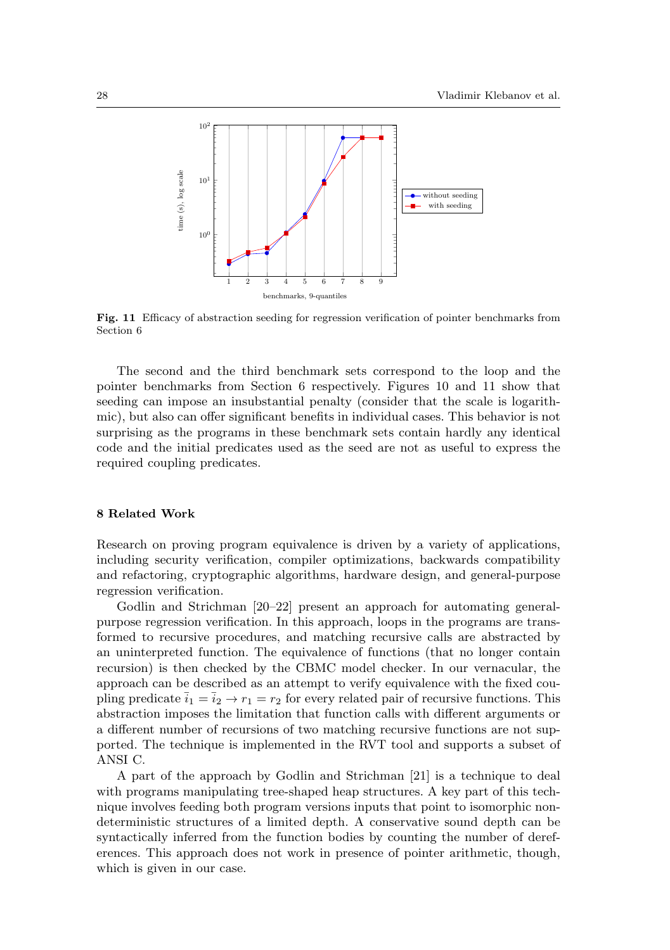

Fig. 11 Efficacy of abstraction seeding for regression verification of pointer benchmarks from Section 6

The second and the third benchmark sets correspond to the loop and the pointer benchmarks from Section 6 respectively. Figures 10 and 11 show that seeding can impose an insubstantial penalty (consider that the scale is logarithmic), but also can offer significant benefits in individual cases. This behavior is not surprising as the programs in these benchmark sets contain hardly any identical code and the initial predicates used as the seed are not as useful to express the required coupling predicates.

## 8 Related Work

Research on proving program equivalence is driven by a variety of applications, including security verification, compiler optimizations, backwards compatibility and refactoring, cryptographic algorithms, hardware design, and general-purpose regression verification.

Godlin and Strichman [20–22] present an approach for automating generalpurpose regression verification. In this approach, loops in the programs are transformed to recursive procedures, and matching recursive calls are abstracted by an uninterpreted function. The equivalence of functions (that no longer contain recursion) is then checked by the CBMC model checker. In our vernacular, the approach can be described as an attempt to verify equivalence with the fixed coupling predicate  $\bar{i}_1 = \bar{i}_2 \rightarrow r_1 = r_2$  for every related pair of recursive functions. This abstraction imposes the limitation that function calls with different arguments or a different number of recursions of two matching recursive functions are not supported. The technique is implemented in the RVT tool and supports a subset of ANSI C.

A part of the approach by Godlin and Strichman [21] is a technique to deal with programs manipulating tree-shaped heap structures. A key part of this technique involves feeding both program versions inputs that point to isomorphic nondeterministic structures of a limited depth. A conservative sound depth can be syntactically inferred from the function bodies by counting the number of dereferences. This approach does not work in presence of pointer arithmetic, though, which is given in our case.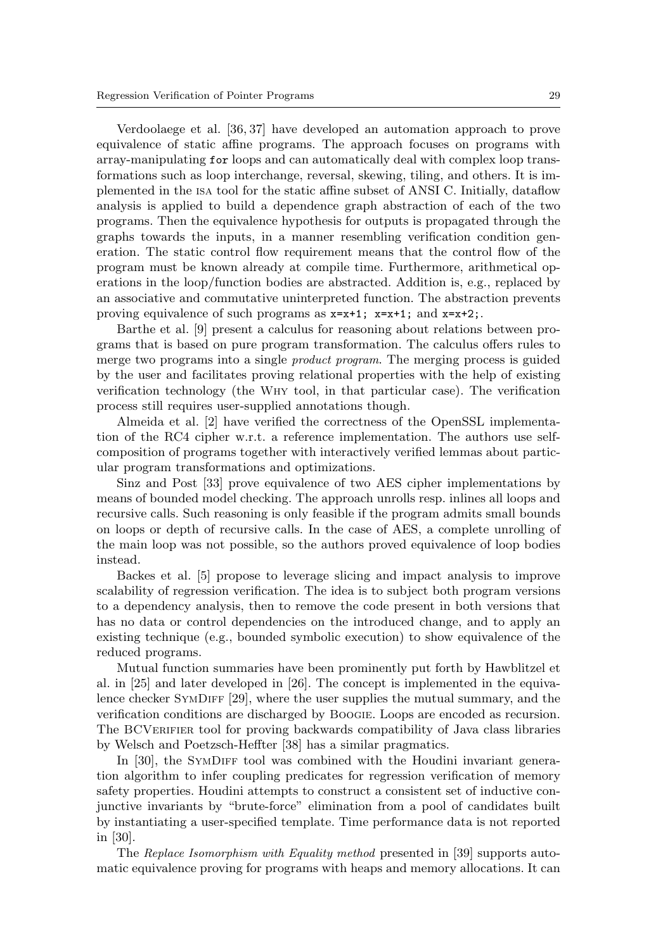Verdoolaege et al. [36, 37] have developed an automation approach to prove equivalence of static affine programs. The approach focuses on programs with array-manipulating for loops and can automatically deal with complex loop transformations such as loop interchange, reversal, skewing, tiling, and others. It is implemented in the isa tool for the static affine subset of ANSI C. Initially, dataflow analysis is applied to build a dependence graph abstraction of each of the two programs. Then the equivalence hypothesis for outputs is propagated through the graphs towards the inputs, in a manner resembling verification condition generation. The static control flow requirement means that the control flow of the program must be known already at compile time. Furthermore, arithmetical operations in the loop/function bodies are abstracted. Addition is, e.g., replaced by an associative and commutative uninterpreted function. The abstraction prevents proving equivalence of such programs as x=x+1; x=x+1; and x=x+2;.

Barthe et al. [9] present a calculus for reasoning about relations between programs that is based on pure program transformation. The calculus offers rules to merge two programs into a single product program. The merging process is guided by the user and facilitates proving relational properties with the help of existing verification technology (the Why tool, in that particular case). The verification process still requires user-supplied annotations though.

Almeida et al. [2] have verified the correctness of the OpenSSL implementation of the RC4 cipher w.r.t. a reference implementation. The authors use selfcomposition of programs together with interactively verified lemmas about particular program transformations and optimizations.

Sinz and Post [33] prove equivalence of two AES cipher implementations by means of bounded model checking. The approach unrolls resp. inlines all loops and recursive calls. Such reasoning is only feasible if the program admits small bounds on loops or depth of recursive calls. In the case of AES, a complete unrolling of the main loop was not possible, so the authors proved equivalence of loop bodies instead.

Backes et al. [5] propose to leverage slicing and impact analysis to improve scalability of regression verification. The idea is to subject both program versions to a dependency analysis, then to remove the code present in both versions that has no data or control dependencies on the introduced change, and to apply an existing technique (e.g., bounded symbolic execution) to show equivalence of the reduced programs.

Mutual function summaries have been prominently put forth by Hawblitzel et al. in [25] and later developed in [26]. The concept is implemented in the equivalence checker SYMDIFF [29], where the user supplies the mutual summary, and the verification conditions are discharged by Boogie. Loops are encoded as recursion. The BCVerifier tool for proving backwards compatibility of Java class libraries by Welsch and Poetzsch-Heffter [38] has a similar pragmatics.

In [30], the SYMDIFF tool was combined with the Houdini invariant generation algorithm to infer coupling predicates for regression verification of memory safety properties. Houdini attempts to construct a consistent set of inductive conjunctive invariants by "brute-force" elimination from a pool of candidates built by instantiating a user-specified template. Time performance data is not reported in [30].

The Replace Isomorphism with Equality method presented in [39] supports automatic equivalence proving for programs with heaps and memory allocations. It can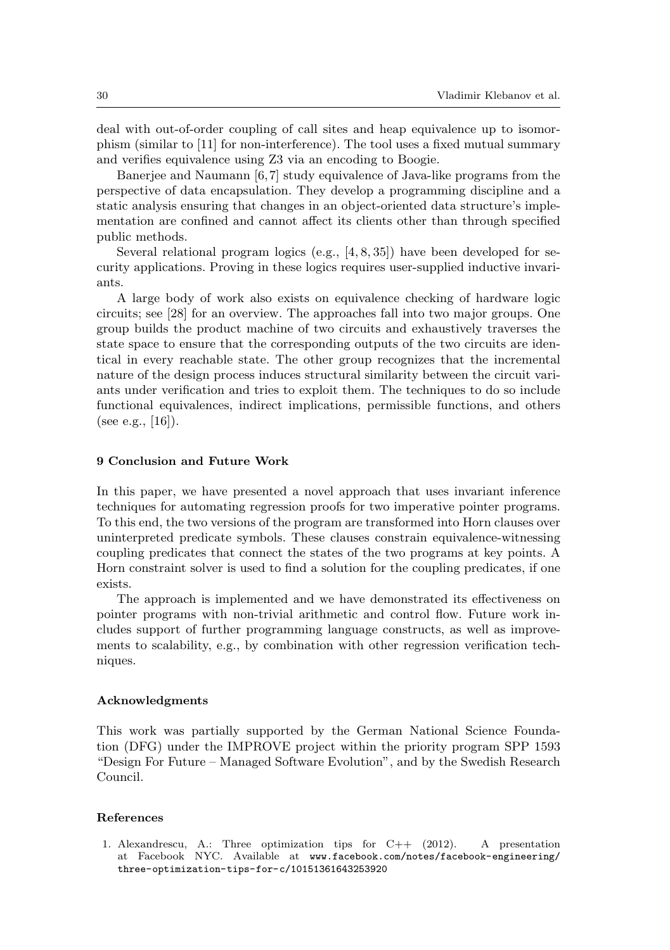deal with out-of-order coupling of call sites and heap equivalence up to isomorphism (similar to [11] for non-interference). The tool uses a fixed mutual summary and verifies equivalence using Z3 via an encoding to Boogie.

Banerjee and Naumann [6,7] study equivalence of Java-like programs from the perspective of data encapsulation. They develop a programming discipline and a static analysis ensuring that changes in an object-oriented data structure's implementation are confined and cannot affect its clients other than through specified public methods.

Several relational program logics (e.g.,  $[4, 8, 35]$ ) have been developed for security applications. Proving in these logics requires user-supplied inductive invariants.

A large body of work also exists on equivalence checking of hardware logic circuits; see [28] for an overview. The approaches fall into two major groups. One group builds the product machine of two circuits and exhaustively traverses the state space to ensure that the corresponding outputs of the two circuits are identical in every reachable state. The other group recognizes that the incremental nature of the design process induces structural similarity between the circuit variants under verification and tries to exploit them. The techniques to do so include functional equivalences, indirect implications, permissible functions, and others (see e.g.,  $[16]$ ).

## 9 Conclusion and Future Work

In this paper, we have presented a novel approach that uses invariant inference techniques for automating regression proofs for two imperative pointer programs. To this end, the two versions of the program are transformed into Horn clauses over uninterpreted predicate symbols. These clauses constrain equivalence-witnessing coupling predicates that connect the states of the two programs at key points. A Horn constraint solver is used to find a solution for the coupling predicates, if one exists.

The approach is implemented and we have demonstrated its effectiveness on pointer programs with non-trivial arithmetic and control flow. Future work includes support of further programming language constructs, as well as improvements to scalability, e.g., by combination with other regression verification techniques.

#### Acknowledgments

This work was partially supported by the German National Science Foundation (DFG) under the IMPROVE project within the priority program SPP 1593 "Design For Future – Managed Software Evolution", and by the Swedish Research Council.

## References

1. Alexandrescu, A.: Three optimization tips for C++ (2012). A presentation at Facebook NYC. Available at www.facebook.com/notes/facebook-engineering/ three-optimization-tips-for-c/10151361643253920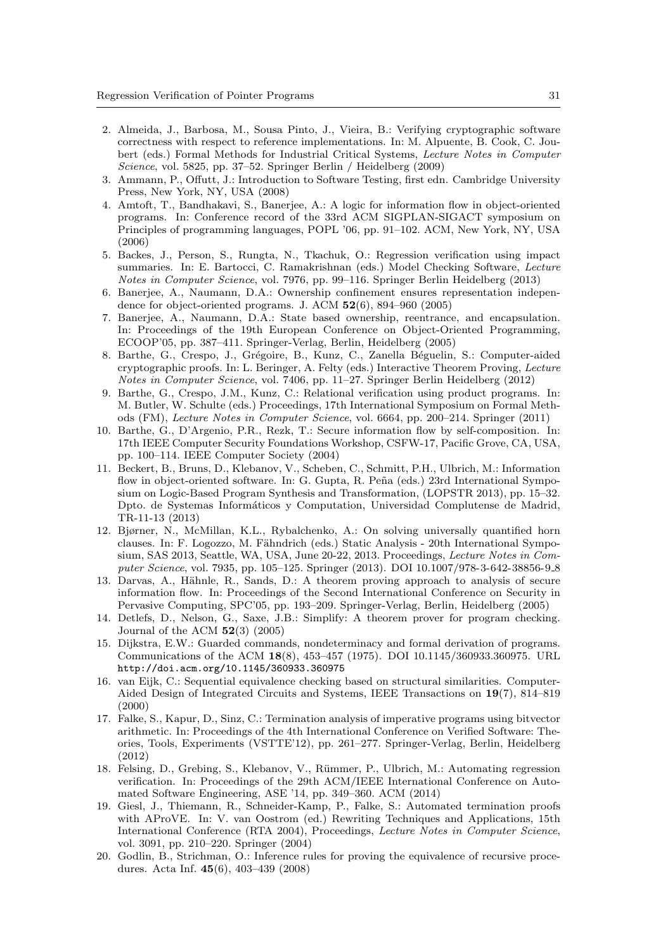- 2. Almeida, J., Barbosa, M., Sousa Pinto, J., Vieira, B.: Verifying cryptographic software correctness with respect to reference implementations. In: M. Alpuente, B. Cook, C. Joubert (eds.) Formal Methods for Industrial Critical Systems, Lecture Notes in Computer Science, vol. 5825, pp. 37–52. Springer Berlin / Heidelberg (2009)
- 3. Ammann, P., Offutt, J.: Introduction to Software Testing, first edn. Cambridge University Press, New York, NY, USA (2008)
- 4. Amtoft, T., Bandhakavi, S., Banerjee, A.: A logic for information flow in object-oriented programs. In: Conference record of the 33rd ACM SIGPLAN-SIGACT symposium on Principles of programming languages, POPL '06, pp. 91–102. ACM, New York, NY, USA (2006)
- 5. Backes, J., Person, S., Rungta, N., Tkachuk, O.: Regression verification using impact summaries. In: E. Bartocci, C. Ramakrishnan (eds.) Model Checking Software, Lecture Notes in Computer Science, vol. 7976, pp. 99–116. Springer Berlin Heidelberg (2013)
- 6. Banerjee, A., Naumann, D.A.: Ownership confinement ensures representation independence for object-oriented programs. J. ACM 52(6), 894–960 (2005)
- 7. Banerjee, A., Naumann, D.A.: State based ownership, reentrance, and encapsulation. In: Proceedings of the 19th European Conference on Object-Oriented Programming, ECOOP'05, pp. 387–411. Springer-Verlag, Berlin, Heidelberg (2005)
- 8. Barthe, G., Crespo, J., Grégoire, B., Kunz, C., Zanella Béguelin, S.: Computer-aided cryptographic proofs. In: L. Beringer, A. Felty (eds.) Interactive Theorem Proving, Lecture Notes in Computer Science, vol. 7406, pp. 11–27. Springer Berlin Heidelberg (2012)
- 9. Barthe, G., Crespo, J.M., Kunz, C.: Relational verification using product programs. In: M. Butler, W. Schulte (eds.) Proceedings, 17th International Symposium on Formal Methods (FM), Lecture Notes in Computer Science, vol. 6664, pp. 200–214. Springer (2011)
- 10. Barthe, G., D'Argenio, P.R., Rezk, T.: Secure information flow by self-composition. In: 17th IEEE Computer Security Foundations Workshop, CSFW-17, Pacific Grove, CA, USA, pp. 100–114. IEEE Computer Society (2004)
- 11. Beckert, B., Bruns, D., Klebanov, V., Scheben, C., Schmitt, P.H., Ulbrich, M.: Information flow in object-oriented software. In: G. Gupta, R. Peña (eds.) 23rd International Symposium on Logic-Based Program Synthesis and Transformation, (LOPSTR 2013), pp. 15–32. Dpto. de Systemas Informáticos y Computation, Universidad Complutense de Madrid, TR-11-13 (2013)
- 12. Bjørner, N., McMillan, K.L., Rybalchenko, A.: On solving universally quantified horn clauses. In: F. Logozzo, M. Fähndrich (eds.) Static Analysis - 20th International Symposium, SAS 2013, Seattle, WA, USA, June 20-22, 2013. Proceedings, Lecture Notes in Computer Science, vol. 7935, pp. 105–125. Springer (2013). DOI 10.1007/978-3-642-38856-9<sub>-8</sub>
- 13. Darvas, A., Hähnle, R., Sands, D.: A theorem proving approach to analysis of secure information flow. In: Proceedings of the Second International Conference on Security in Pervasive Computing, SPC'05, pp. 193–209. Springer-Verlag, Berlin, Heidelberg (2005)
- 14. Detlefs, D., Nelson, G., Saxe, J.B.: Simplify: A theorem prover for program checking. Journal of the ACM  $52(3)$  (2005)
- 15. Dijkstra, E.W.: Guarded commands, nondeterminacy and formal derivation of programs. Communications of the ACM 18(8), 453–457 (1975). DOI 10.1145/360933.360975. URL http://doi.acm.org/10.1145/360933.360975
- 16. van Eijk, C.: Sequential equivalence checking based on structural similarities. Computer-Aided Design of Integrated Circuits and Systems, IEEE Transactions on 19(7), 814–819 (2000)
- 17. Falke, S., Kapur, D., Sinz, C.: Termination analysis of imperative programs using bitvector arithmetic. In: Proceedings of the 4th International Conference on Verified Software: Theories, Tools, Experiments (VSTTE'12), pp. 261–277. Springer-Verlag, Berlin, Heidelberg (2012)
- 18. Felsing, D., Grebing, S., Klebanov, V., Rümmer, P., Ulbrich, M.: Automating regression verification. In: Proceedings of the 29th ACM/IEEE International Conference on Automated Software Engineering, ASE '14, pp. 349–360. ACM (2014)
- 19. Giesl, J., Thiemann, R., Schneider-Kamp, P., Falke, S.: Automated termination proofs with AProVE. In: V. van Oostrom (ed.) Rewriting Techniques and Applications, 15th International Conference (RTA 2004), Proceedings, Lecture Notes in Computer Science, vol. 3091, pp. 210–220. Springer (2004)
- 20. Godlin, B., Strichman, O.: Inference rules for proving the equivalence of recursive procedures. Acta Inf. 45(6), 403–439 (2008)